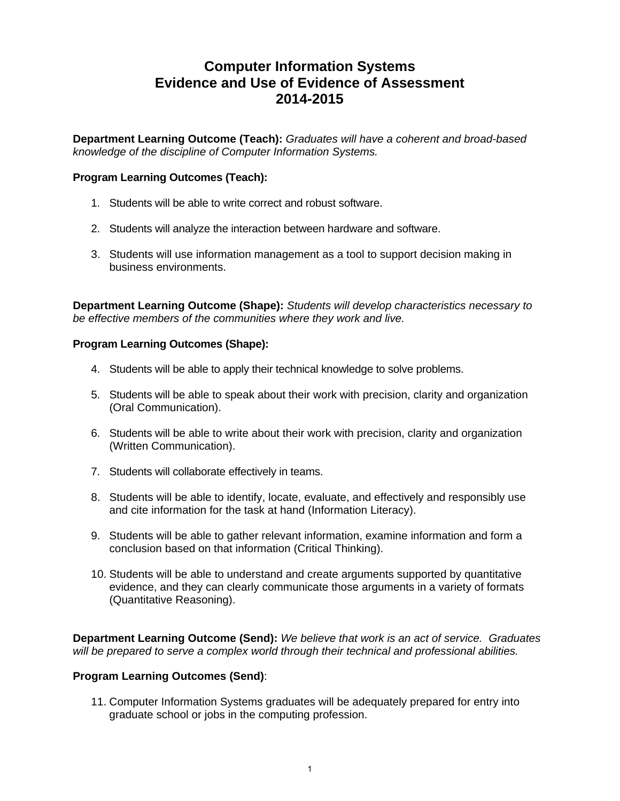# **Computer Information Systems Evidence and Use of Evidence of Assessment 2014-2015**

**Department Learning Outcome (Teach):** *Graduates will have a coherent and broad-based knowledge of the discipline of Computer Information Systems.* 

### **Program Learning Outcomes (Teach):**

- 1. Students will be able to write correct and robust software.
- 2. Students will analyze the interaction between hardware and software.
- 3. Students will use information management as a tool to support decision making in business environments.

**Department Learning Outcome (Shape):** *Students will develop characteristics necessary to be effective members of the communities where they work and live.* 

#### **Program Learning Outcomes (Shape):**

- 4. Students will be able to apply their technical knowledge to solve problems.
- 5. Students will be able to speak about their work with precision, clarity and organization (Oral Communication).
- 6. Students will be able to write about their work with precision, clarity and organization (Written Communication).
- 7. Students will collaborate effectively in teams.
- 8. Students will be able to identify, locate, evaluate, and effectively and responsibly use and cite information for the task at hand (Information Literacy).
- 9. Students will be able to gather relevant information, examine information and form a conclusion based on that information (Critical Thinking).
- 10. Students will be able to understand and create arguments supported by quantitative evidence, and they can clearly communicate those arguments in a variety of formats (Quantitative Reasoning).

**Department Learning Outcome (Send):** *We believe that work is an act of service. Graduates will be prepared to serve a complex world through their technical and professional abilities.* 

#### **Program Learning Outcomes (Send)**:

11. Computer Information Systems graduates will be adequately prepared for entry into graduate school or jobs in the computing profession.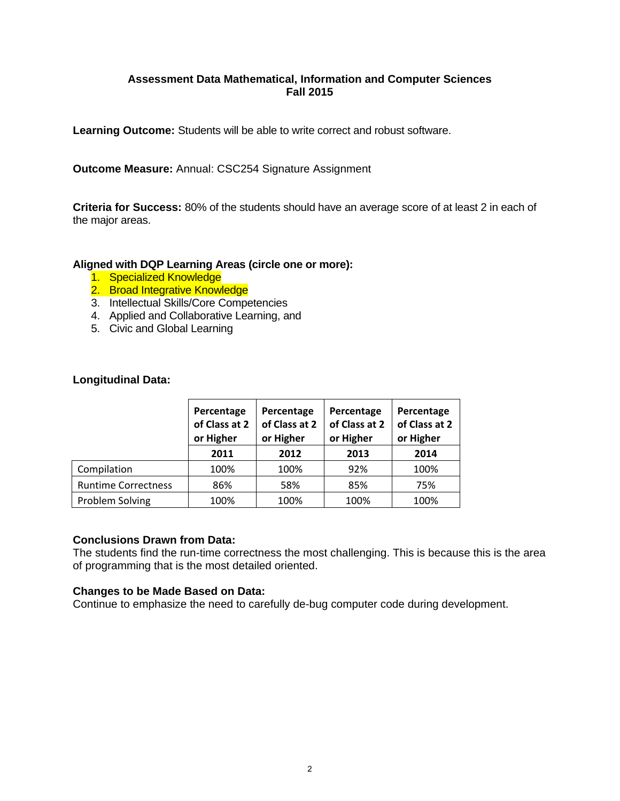**Learning Outcome:** Students will be able to write correct and robust software.

**Outcome Measure:** Annual: CSC254 Signature Assignment

**Criteria for Success:** 80% of the students should have an average score of at least 2 in each of the major areas.

### **Aligned with DQP Learning Areas (circle one or more):**

- 1. Specialized Knowledge
- 2. Broad Integrative Knowledge
- 3. Intellectual Skills/Core Competencies
- 4. Applied and Collaborative Learning, and
- 5. Civic and Global Learning

### **Longitudinal Data:**

|                            | Percentage<br>of Class at 2<br>or Higher | Percentage<br>Percentage<br>of Class at 2<br>of Class at 2<br>or Higher<br>or Higher |      | Percentage<br>of Class at 2<br>or Higher |  |
|----------------------------|------------------------------------------|--------------------------------------------------------------------------------------|------|------------------------------------------|--|
|                            | 2011                                     | 2012                                                                                 | 2013 | 2014                                     |  |
| Compilation                | 100%                                     | 100%                                                                                 | 92%  | 100%                                     |  |
| <b>Runtime Correctness</b> | 86%                                      | 58%                                                                                  | 85%  | 75%                                      |  |
| Problem Solving            | 100%                                     | 100%                                                                                 | 100% | 100%                                     |  |

### **Conclusions Drawn from Data:**

The students find the run-time correctness the most challenging. This is because this is the area of programming that is the most detailed oriented.

#### **Changes to be Made Based on Data:**

Continue to emphasize the need to carefully de-bug computer code during development.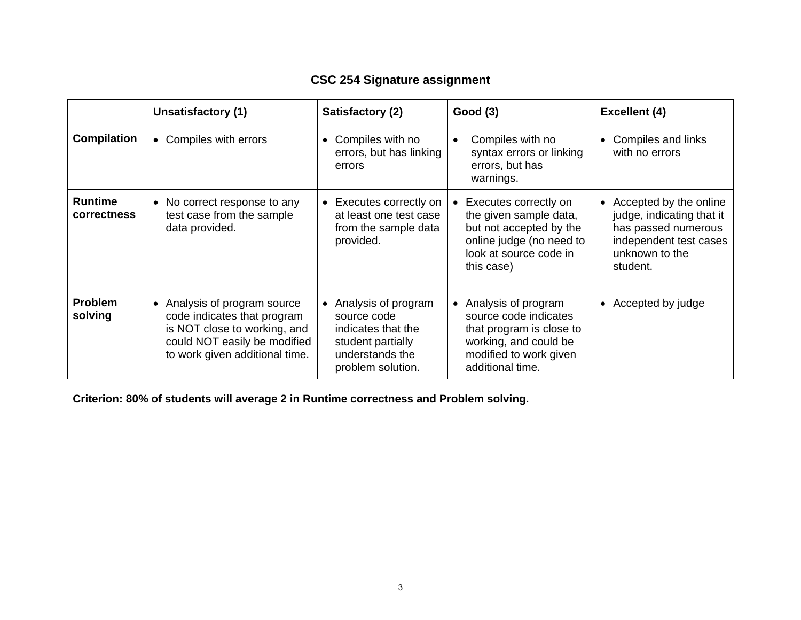# **CSC 254 Signature assignment**

|                               | Unsatisfactory (1)                                                                                                                                            | Satisfactory (2)                                                                                                      | Good(3)                                                                                                                                           | <b>Excellent (4)</b>                                                                                                               |
|-------------------------------|---------------------------------------------------------------------------------------------------------------------------------------------------------------|-----------------------------------------------------------------------------------------------------------------------|---------------------------------------------------------------------------------------------------------------------------------------------------|------------------------------------------------------------------------------------------------------------------------------------|
| <b>Compilation</b>            | • Compiles with errors                                                                                                                                        | Compiles with no<br>$\bullet$<br>errors, but has linking<br>errors                                                    | Compiles with no<br>syntax errors or linking<br>errors, but has<br>warnings.                                                                      | Compiles and links<br>with no errors                                                                                               |
| <b>Runtime</b><br>correctness | • No correct response to any<br>test case from the sample<br>data provided.                                                                                   | • Executes correctly on<br>at least one test case<br>from the sample data<br>provided.                                | Executes correctly on<br>the given sample data,<br>but not accepted by the<br>online judge (no need to<br>look at source code in<br>this case)    | Accepted by the online<br>judge, indicating that it<br>has passed numerous<br>independent test cases<br>unknown to the<br>student. |
| <b>Problem</b><br>solving     | • Analysis of program source<br>code indicates that program<br>is NOT close to working, and<br>could NOT easily be modified<br>to work given additional time. | Analysis of program<br>source code<br>indicates that the<br>student partially<br>understands the<br>problem solution. | • Analysis of program<br>source code indicates<br>that program is close to<br>working, and could be<br>modified to work given<br>additional time. | • Accepted by judge                                                                                                                |

**Criterion: 80% of students will average 2 in Runtime correctness and Problem solving.**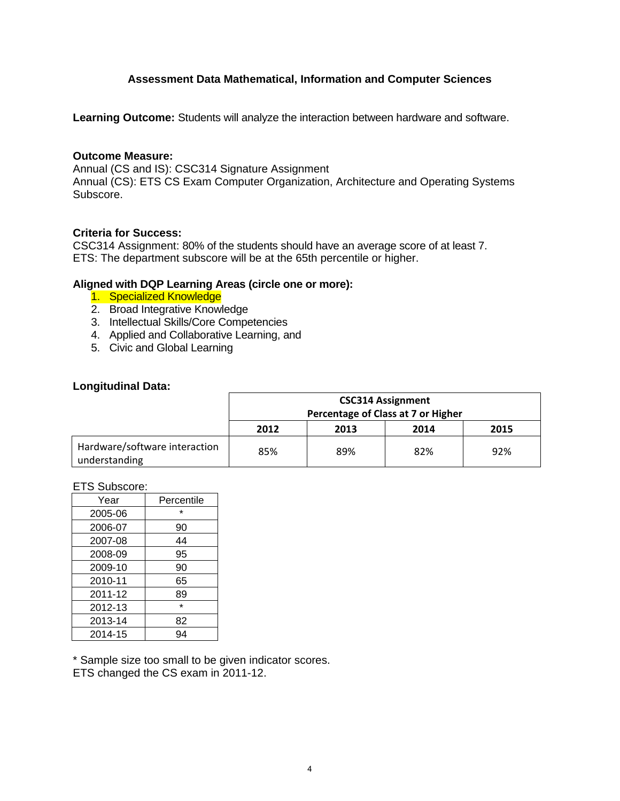**Learning Outcome:** Students will analyze the interaction between hardware and software.

#### **Outcome Measure:**

Annual (CS and IS): CSC314 Signature Assignment Annual (CS): ETS CS Exam Computer Organization, Architecture and Operating Systems Subscore.

### **Criteria for Success:**

CSC314 Assignment: 80% of the students should have an average score of at least 7. ETS: The department subscore will be at the 65th percentile or higher.

### **Aligned with DQP Learning Areas (circle one or more):**

- 1. Specialized Knowledge
- 2. Broad Integrative Knowledge
- 3. Intellectual Skills/Core Competencies
- 4. Applied and Collaborative Learning, and
- 5. Civic and Global Learning

### **Longitudinal Data:**

|                                                | <b>CSC314 Assignment</b><br>Percentage of Class at 7 or Higher |      |      |      |  |  |
|------------------------------------------------|----------------------------------------------------------------|------|------|------|--|--|
|                                                | 2012                                                           | 2013 | 2014 | 2015 |  |  |
| Hardware/software interaction<br>understanding | 85%                                                            | 89%  | 82%  | 92%  |  |  |

#### ETS Subscore:

| Year    | Percentile |
|---------|------------|
| 2005-06 | ÷          |
| 2006-07 | 90         |
| 2007-08 | 44         |
| 2008-09 | 95         |
| 2009-10 | 90         |
| 2010-11 | 65         |
| 2011-12 | 89         |
| 2012-13 | $\star$    |
| 2013-14 | 82         |
| 2014-15 | 94         |

\* Sample size too small to be given indicator scores.

ETS changed the CS exam in 2011-12.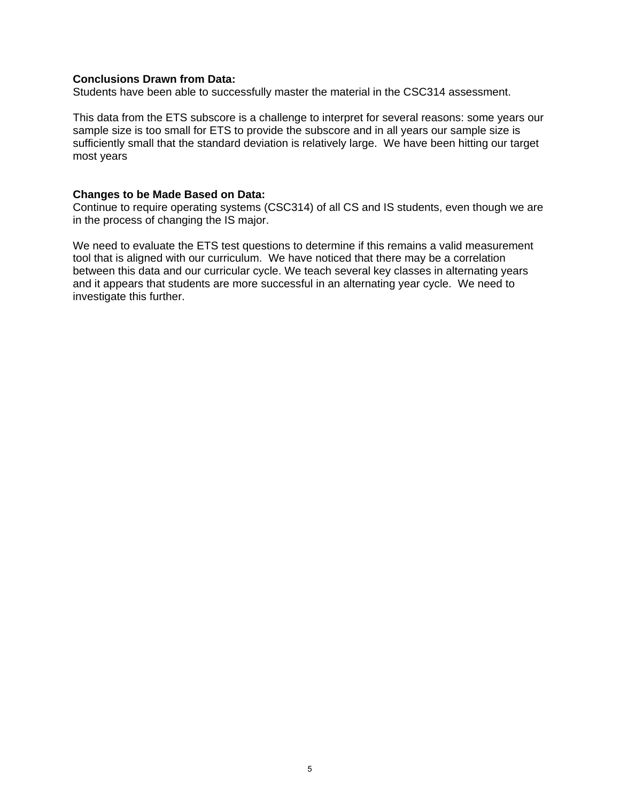#### **Conclusions Drawn from Data:**

Students have been able to successfully master the material in the CSC314 assessment.

This data from the ETS subscore is a challenge to interpret for several reasons: some years our sample size is too small for ETS to provide the subscore and in all years our sample size is sufficiently small that the standard deviation is relatively large. We have been hitting our target most years

#### **Changes to be Made Based on Data:**

Continue to require operating systems (CSC314) of all CS and IS students, even though we are in the process of changing the IS major.

We need to evaluate the ETS test questions to determine if this remains a valid measurement tool that is aligned with our curriculum. We have noticed that there may be a correlation between this data and our curricular cycle. We teach several key classes in alternating years and it appears that students are more successful in an alternating year cycle. We need to investigate this further.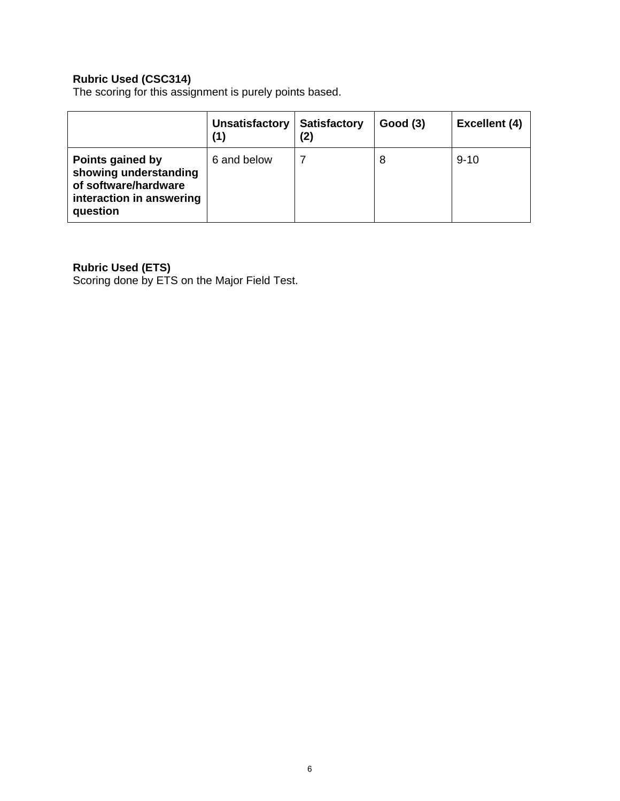### **Rubric Used (CSC314)**

The scoring for this assignment is purely points based.

|                                                                                                           | <b>Unsatisfactory</b><br>(1) | <b>Satisfactory</b><br>(2) | Good(3) | <b>Excellent (4)</b> |
|-----------------------------------------------------------------------------------------------------------|------------------------------|----------------------------|---------|----------------------|
| Points gained by<br>showing understanding<br>of software/hardware<br>interaction in answering<br>question | 6 and below                  |                            | 8       | $9 - 10$             |

### **Rubric Used (ETS)**

Scoring done by ETS on the Major Field Test.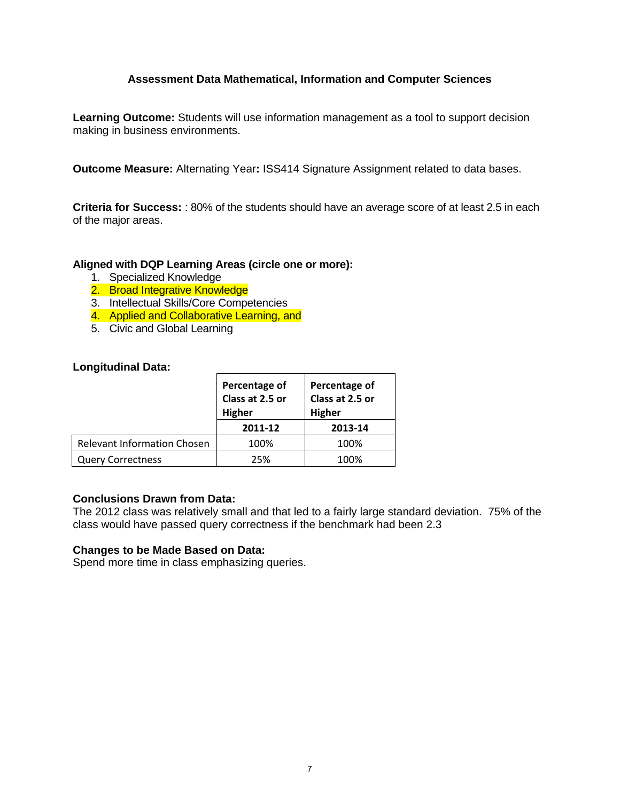**Learning Outcome:** Students will use information management as a tool to support decision making in business environments.

**Outcome Measure:** Alternating Year**:** ISS414 Signature Assignment related to data bases.

**Criteria for Success:** : 80% of the students should have an average score of at least 2.5 in each of the major areas.

### **Aligned with DQP Learning Areas (circle one or more):**

- 1. Specialized Knowledge
- 2. Broad Integrative Knowledge
- 3. Intellectual Skills/Core Competencies
- 4. Applied and Collaborative Learning, and
- 5. Civic and Global Learning

### **Longitudinal Data:**

|                                    | Percentage of<br>Class at 2.5 or<br><b>Higher</b> | Percentage of<br>Class at 2.5 or<br><b>Higher</b> |
|------------------------------------|---------------------------------------------------|---------------------------------------------------|
|                                    | 2011-12                                           | 2013-14                                           |
| <b>Relevant Information Chosen</b> | 100%                                              | 100%                                              |
| <b>Query Correctness</b>           | 25%                                               | 100%                                              |

#### **Conclusions Drawn from Data:**

The 2012 class was relatively small and that led to a fairly large standard deviation. 75% of the class would have passed query correctness if the benchmark had been 2.3

#### **Changes to be Made Based on Data:**

Spend more time in class emphasizing queries.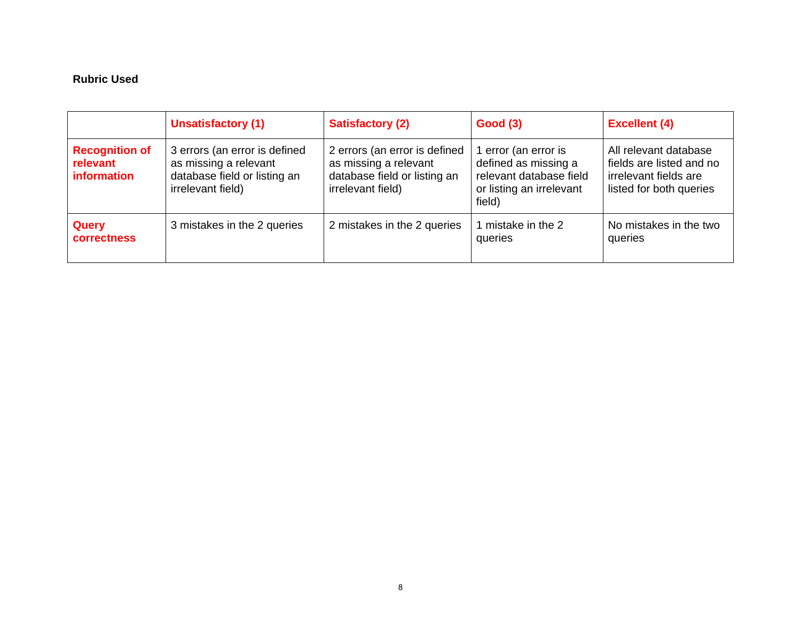#### **Rubric Used**

|                                                  | <b>Unsatisfactory (1)</b>                                                                                   | <b>Satisfactory (2)</b>                                                                                     | <b>Good (3)</b>                                                                                               | <b>Excellent (4)</b>                                                                                  |
|--------------------------------------------------|-------------------------------------------------------------------------------------------------------------|-------------------------------------------------------------------------------------------------------------|---------------------------------------------------------------------------------------------------------------|-------------------------------------------------------------------------------------------------------|
| <b>Recognition of</b><br>relevant<br>information | 3 errors (an error is defined<br>as missing a relevant<br>database field or listing an<br>irrelevant field) | 2 errors (an error is defined<br>as missing a relevant<br>database field or listing an<br>irrelevant field) | l error (an error is<br>defined as missing a<br>relevant database field<br>or listing an irrelevant<br>field) | All relevant database<br>fields are listed and no<br>irrelevant fields are<br>listed for both queries |
| Query<br>correctness                             | 3 mistakes in the 2 queries                                                                                 | 2 mistakes in the 2 queries                                                                                 | 1 mistake in the 2<br>queries                                                                                 | No mistakes in the two<br>queries                                                                     |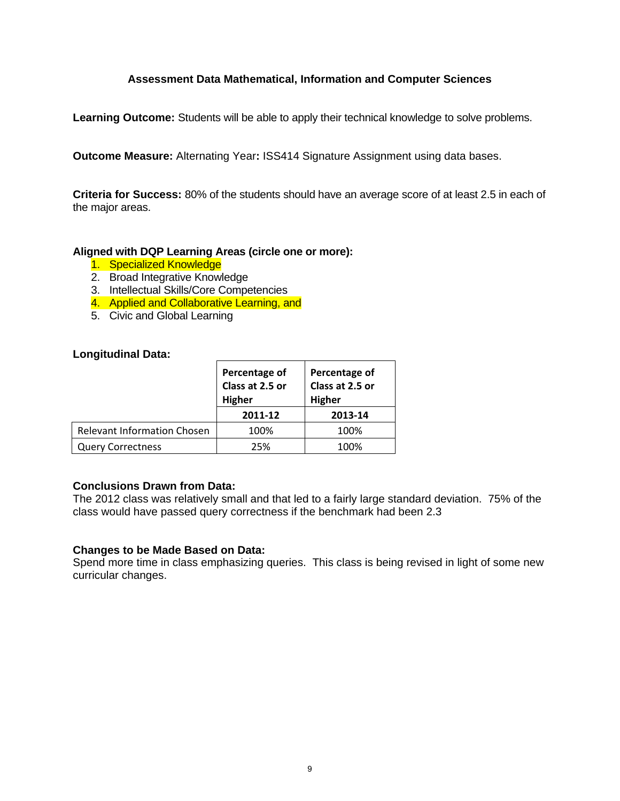**Learning Outcome:** Students will be able to apply their technical knowledge to solve problems.

**Outcome Measure:** Alternating Year**:** ISS414 Signature Assignment using data bases.

**Criteria for Success:** 80% of the students should have an average score of at least 2.5 in each of the major areas.

#### **Aligned with DQP Learning Areas (circle one or more):**

- 1. Specialized Knowledge
- 2. Broad Integrative Knowledge
- 3. Intellectual Skills/Core Competencies
- 4. Applied and Collaborative Learning, and
- 5. Civic and Global Learning

### **Longitudinal Data:**

|                                    | Percentage of<br>Class at 2.5 or<br><b>Higher</b> | Percentage of<br>Class at 2.5 or<br>Higher |  |  |
|------------------------------------|---------------------------------------------------|--------------------------------------------|--|--|
|                                    | 2011-12                                           | 2013-14                                    |  |  |
| <b>Relevant Information Chosen</b> | 100%                                              | 100%                                       |  |  |
| <b>Query Correctness</b>           | 25%                                               | 100%                                       |  |  |

#### **Conclusions Drawn from Data:**

The 2012 class was relatively small and that led to a fairly large standard deviation. 75% of the class would have passed query correctness if the benchmark had been 2.3

#### **Changes to be Made Based on Data:**

Spend more time in class emphasizing queries. This class is being revised in light of some new curricular changes.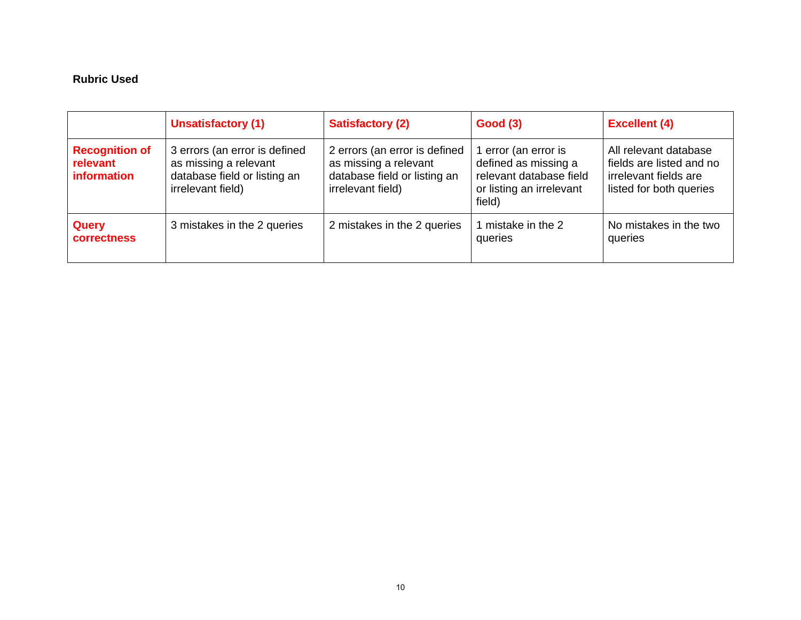#### **Rubric Used**

|                                                  | <b>Unsatisfactory (1)</b>                                                                                   | <b>Satisfactory (2)</b>                                                                                     | <b>Good (3)</b>                                                                                               | <b>Excellent (4)</b>                                                                                  |
|--------------------------------------------------|-------------------------------------------------------------------------------------------------------------|-------------------------------------------------------------------------------------------------------------|---------------------------------------------------------------------------------------------------------------|-------------------------------------------------------------------------------------------------------|
| <b>Recognition of</b><br>relevant<br>information | 3 errors (an error is defined<br>as missing a relevant<br>database field or listing an<br>irrelevant field) | 2 errors (an error is defined<br>as missing a relevant<br>database field or listing an<br>irrelevant field) | l error (an error is<br>defined as missing a<br>relevant database field<br>or listing an irrelevant<br>field) | All relevant database<br>fields are listed and no<br>irrelevant fields are<br>listed for both queries |
| Query<br>correctness                             | 3 mistakes in the 2 queries                                                                                 | 2 mistakes in the 2 queries                                                                                 | 1 mistake in the 2<br>queries                                                                                 | No mistakes in the two<br>queries                                                                     |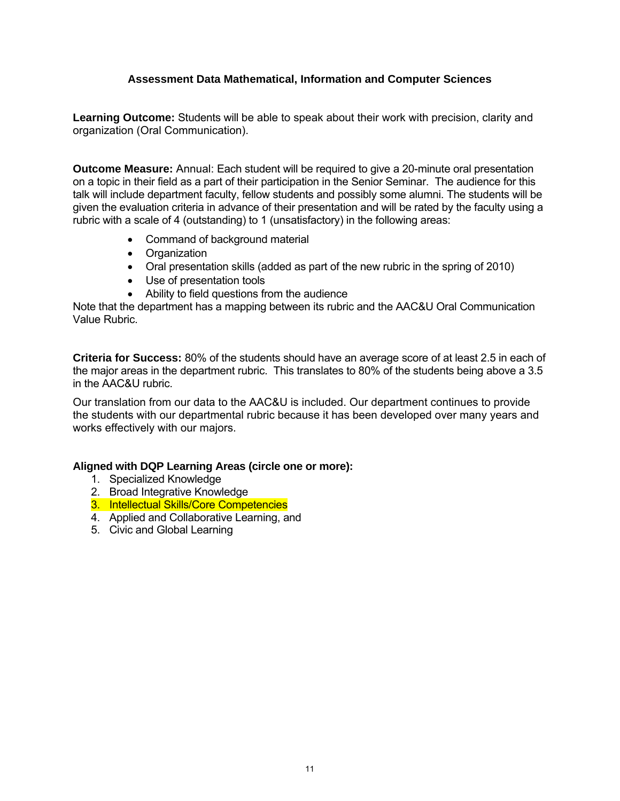**Learning Outcome:** Students will be able to speak about their work with precision, clarity and organization (Oral Communication).

**Outcome Measure:** Annual: Each student will be required to give a 20-minute oral presentation on a topic in their field as a part of their participation in the Senior Seminar. The audience for this talk will include department faculty, fellow students and possibly some alumni. The students will be given the evaluation criteria in advance of their presentation and will be rated by the faculty using a rubric with a scale of 4 (outstanding) to 1 (unsatisfactory) in the following areas:

- Command of background material
- Organization
- Oral presentation skills (added as part of the new rubric in the spring of 2010)
- Use of presentation tools
- Ability to field questions from the audience

Note that the department has a mapping between its rubric and the AAC&U Oral Communication Value Rubric.

**Criteria for Success:** 80% of the students should have an average score of at least 2.5 in each of the major areas in the department rubric. This translates to 80% of the students being above a 3.5 in the AAC&U rubric.

Our translation from our data to the AAC&U is included. Our department continues to provide the students with our departmental rubric because it has been developed over many years and works effectively with our majors.

#### **Aligned with DQP Learning Areas (circle one or more):**

- 1. Specialized Knowledge
- 2. Broad Integrative Knowledge
- 3. Intellectual Skills/Core Competencies
- 4. Applied and Collaborative Learning, and
- 5. Civic and Global Learning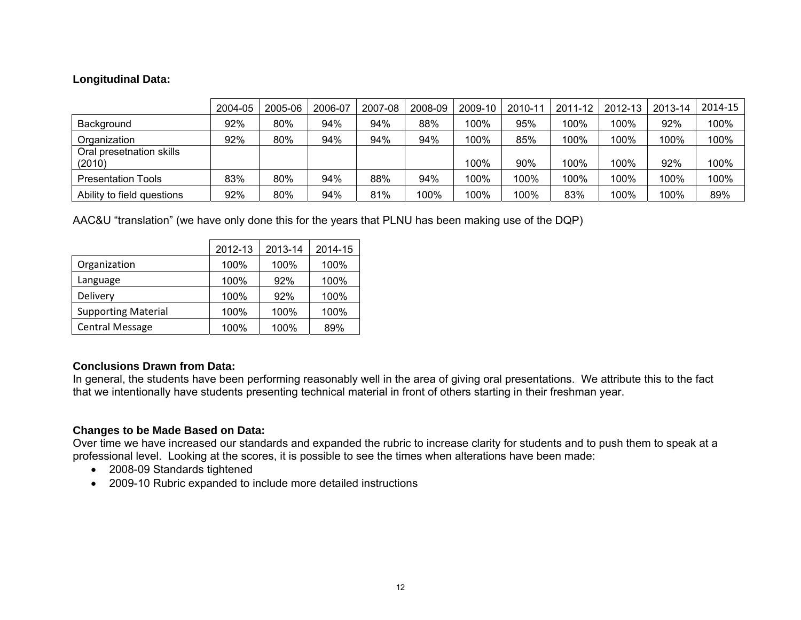### **Longitudinal Data:**

|                                    | 2004-05 | 2005-06 | 2006-07 | 2007-08 | 2008-09 | 2009-10 | 2010-11 | 2011-12 | 2012-13 | 2013-14 | 2014-15 |
|------------------------------------|---------|---------|---------|---------|---------|---------|---------|---------|---------|---------|---------|
| Background                         | 92%     | 80%     | 94%     | 94%     | 88%     | 100%    | 95%     | 100%    | 100%    | 92%     | 100%    |
| Organization                       | 92%     | 80%     | 94%     | 94%     | 94%     | 100%    | 85%     | 100%    | 100%    | 100%    | 100%    |
| Oral presetnation skills<br>(2010) |         |         |         |         |         | 100%    | 90%     | 100%    | 100%    | 92%     | 100%    |
| <b>Presentation Tools</b>          | 83%     | 80%     | 94%     | 88%     | 94%     | 100%    | 100%    | 100%    | 100%    | 100%    | 100%    |
| Ability to field questions         | 92%     | 80%     | 94%     | 81%     | 100%    | 100%    | 100%    | 83%     | 100%    | 100%    | 89%     |

AAC&U "translation" (we have only done this for the years that PLNU has been making use of the DQP)

|                            | 2012-13 | 2013-14 | 2014-15 |
|----------------------------|---------|---------|---------|
| Organization               | 100%    | 100%    | 100%    |
| Language                   | 100%    | 92%     | 100%    |
| Delivery                   | 100%    | 92%     | 100%    |
| <b>Supporting Material</b> | 100%    | 100%    | 100%    |
| <b>Central Message</b>     | 100%    | 100%    | 89%     |

### **Conclusions Drawn from Data:**

In general, the students have been performing reasonably well in the area of giving oral presentations. We attribute this to the fact that we intentionally have students presenting technical material in front of others starting in their freshman year.

### **Changes to be Made Based on Data:**

Over time we have increased our standards and expanded the rubric to increase clarity for students and to push them to speak at a professional level. Looking at the scores, it is possible to see the times when alterations have been made:

- 2008-09 Standards tightened
- 2009-10 Rubric expanded to include more detailed instructions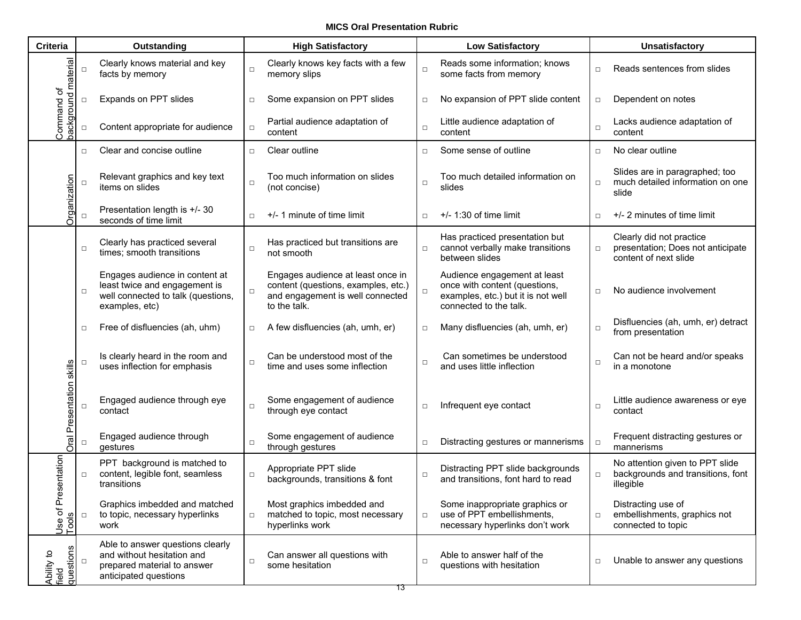**MICS Oral Presentation Rubric**

| <b>Criteria</b>                  |        | Outstanding                                                                                                             |        | <b>High Satisfactory</b>                                                                                                     |        | <b>Low Satisfactory</b>                                                                                                       |        | Unsatisfactory                                                                         |
|----------------------------------|--------|-------------------------------------------------------------------------------------------------------------------------|--------|------------------------------------------------------------------------------------------------------------------------------|--------|-------------------------------------------------------------------------------------------------------------------------------|--------|----------------------------------------------------------------------------------------|
| material                         | $\Box$ | Clearly knows material and key<br>facts by memory                                                                       | $\Box$ | Clearly knows key facts with a few<br>memory slips                                                                           | $\Box$ | Reads some information; knows<br>some facts from memory                                                                       | $\Box$ | Reads sentences from slides                                                            |
| ъ                                | $\Box$ | Expands on PPT slides                                                                                                   | $\Box$ | Some expansion on PPT slides                                                                                                 | $\Box$ | No expansion of PPT slide content                                                                                             | $\Box$ | Dependent on notes                                                                     |
| Command of<br>backgroun          | $\Box$ | Content appropriate for audience                                                                                        | $\Box$ | Partial audience adaptation of<br>content                                                                                    | $\Box$ | Little audience adaptation of<br>content                                                                                      | $\Box$ | Lacks audience adaptation of<br>content                                                |
|                                  | $\Box$ | Clear and concise outline                                                                                               | $\Box$ | Clear outline                                                                                                                | $\Box$ | Some sense of outline                                                                                                         | $\Box$ | No clear outline                                                                       |
| Organization                     | $\Box$ | Relevant graphics and key text<br>items on slides                                                                       | $\Box$ | Too much information on slides<br>(not concise)                                                                              | $\Box$ | Too much detailed information on<br>slides                                                                                    | $\Box$ | Slides are in paragraphed; too<br>much detailed information on one<br>slide            |
|                                  | $\Box$ | Presentation length is +/- 30<br>seconds of time limit                                                                  | $\Box$ | +/- 1 minute of time limit                                                                                                   | $\Box$ | $+/- 1:30$ of time limit                                                                                                      | $\Box$ | +/- 2 minutes of time limit                                                            |
|                                  | $\Box$ | Clearly has practiced several<br>times; smooth transitions                                                              | $\Box$ | Has practiced but transitions are<br>not smooth                                                                              | $\Box$ | Has practiced presentation but<br>cannot verbally make transitions<br>between slides                                          | $\Box$ | Clearly did not practice<br>presentation; Does not anticipate<br>content of next slide |
|                                  | $\Box$ | Engages audience in content at<br>least twice and engagement is<br>well connected to talk (questions,<br>examples, etc) | $\Box$ | Engages audience at least once in<br>content (questions, examples, etc.)<br>and engagement is well connected<br>to the talk. | $\Box$ | Audience engagement at least<br>once with content (questions,<br>examples, etc.) but it is not well<br>connected to the talk. | $\Box$ | No audience involvement                                                                |
|                                  | $\Box$ | Free of disfluencies (ah, uhm)                                                                                          | $\Box$ | A few disfluencies (ah, umh, er)                                                                                             | $\Box$ | Many disfluencies (ah, umh, er)                                                                                               | $\Box$ | Disfluencies (ah, umh, er) detract<br>from presentation                                |
| <b>Skills</b>                    | $\Box$ | Is clearly heard in the room and<br>uses inflection for emphasis                                                        | $\Box$ | Can be understood most of the<br>time and uses some inflection                                                               | $\Box$ | Can sometimes be understood<br>and uses little inflection                                                                     | $\Box$ | Can not be heard and/or speaks<br>in a monotone                                        |
| Presentation                     | $\Box$ | Engaged audience through eye<br>contact                                                                                 | $\Box$ | Some engagement of audience<br>through eye contact                                                                           | $\Box$ | Infrequent eye contact                                                                                                        | $\Box$ | Little audience awareness or eye<br>contact                                            |
| Ō<br>Ō                           | $\Box$ | Engaged audience through<br>gestures                                                                                    | $\Box$ | Some engagement of audience<br>through gestures                                                                              | $\Box$ | Distracting gestures or mannerisms                                                                                            | $\Box$ | Frequent distracting gestures or<br>mannerisms                                         |
| entation                         | $\Box$ | PPT background is matched to<br>content, legible font, seamless<br>transitions                                          | $\Box$ | Appropriate PPT slide<br>backgrounds, transitions & font                                                                     | $\Box$ | Distracting PPT slide backgrounds<br>and transitions, font hard to read                                                       | $\Box$ | No attention given to PPT slide<br>backgrounds and transitions, font<br>illegible      |
| Pres<br>Ⴆ<br>9se<br>Tool         | $\Box$ | Graphics imbedded and matched<br>to topic, necessary hyperlinks<br>work                                                 | $\Box$ | Most graphics imbedded and<br>matched to topic, most necessary<br>hyperlinks work                                            | $\Box$ | Some inappropriate graphics or<br>use of PPT embellishments,<br>necessary hyperlinks don't work                               | $\Box$ | Distracting use of<br>embellishments, graphics not<br>connected to topic               |
| questions<br>Ability to<br>field | $\Box$ | Able to answer questions clearly<br>and without hesitation and<br>prepared material to answer<br>anticipated questions  | $\Box$ | Can answer all questions with<br>some hesitation                                                                             | $\Box$ | Able to answer half of the<br>questions with hesitation                                                                       | $\Box$ | Unable to answer any questions                                                         |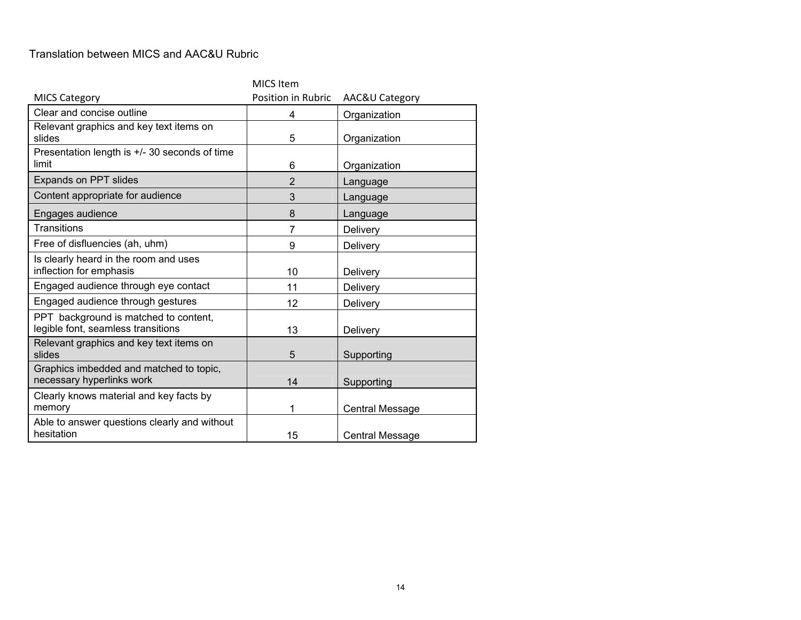### Translation between MICS and AAC&U Rubric

|                                                                             | MICS Item          |                        |
|-----------------------------------------------------------------------------|--------------------|------------------------|
| <b>MICS Category</b>                                                        | Position in Rubric | AAC&U Category         |
| Clear and concise outline                                                   | 4                  | Organization           |
| Relevant graphics and key text items on<br>slides                           | 5                  | Organization           |
| Presentation length is +/- 30 seconds of time<br>limit                      | 6                  | Organization           |
| <b>Expands on PPT slides</b>                                                | $\overline{2}$     | Language               |
| Content appropriate for audience                                            | 3                  | Language               |
| Engages audience                                                            | 8                  | Language               |
| Transitions                                                                 | $\overline{7}$     | Delivery               |
| Free of disfluencies (ah, uhm)                                              | 9                  | Delivery               |
| Is clearly heard in the room and uses<br>inflection for emphasis            | 10                 | Delivery               |
| Engaged audience through eye contact                                        | 11                 | Delivery               |
| Engaged audience through gestures                                           | 12                 | Delivery               |
| PPT background is matched to content,<br>legible font, seamless transitions | 13                 | Delivery               |
| Relevant graphics and key text items on<br>slides                           | 5                  | Supporting             |
| Graphics imbedded and matched to topic,<br>necessary hyperlinks work        | 14                 | Supporting             |
| Clearly knows material and key facts by<br>memory                           | 1                  | <b>Central Message</b> |
| Able to answer questions clearly and without<br>hesitation                  | 15                 | <b>Central Message</b> |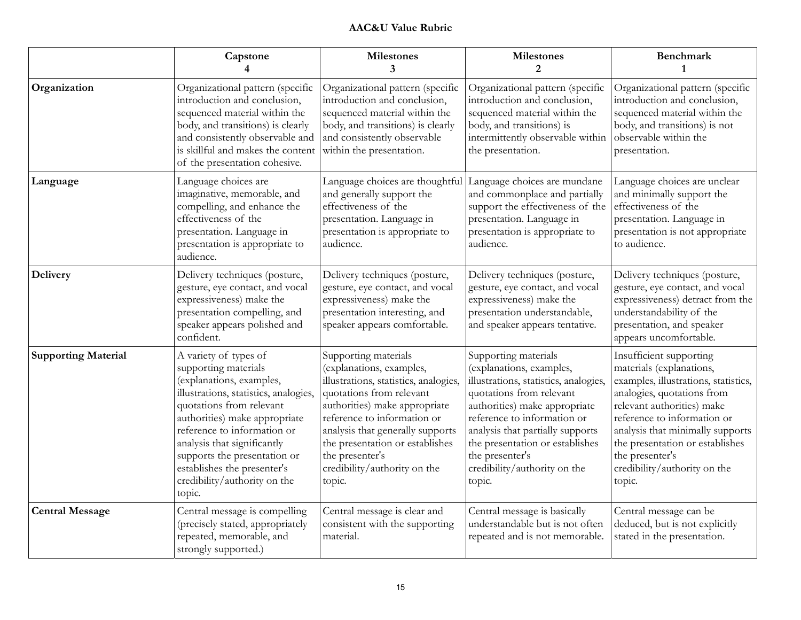### **AAC&U Value Rubric**

|                            | Capstone<br>4                                                                                                                                                                                                                                                                                                                                          | <b>Milestones</b><br>3                                                                                                                                                                                                                                                                                                    | <b>Milestones</b><br>2                                                                                                                                                                                                                                                                                                    | <b>Benchmark</b><br>1                                                                                                                                                                                                                                                                                                      |
|----------------------------|--------------------------------------------------------------------------------------------------------------------------------------------------------------------------------------------------------------------------------------------------------------------------------------------------------------------------------------------------------|---------------------------------------------------------------------------------------------------------------------------------------------------------------------------------------------------------------------------------------------------------------------------------------------------------------------------|---------------------------------------------------------------------------------------------------------------------------------------------------------------------------------------------------------------------------------------------------------------------------------------------------------------------------|----------------------------------------------------------------------------------------------------------------------------------------------------------------------------------------------------------------------------------------------------------------------------------------------------------------------------|
| Organization               | Organizational pattern (specific<br>introduction and conclusion,<br>sequenced material within the<br>body, and transitions) is clearly<br>and consistently observable and<br>is skillful and makes the content<br>of the presentation cohesive.                                                                                                        | Organizational pattern (specific<br>introduction and conclusion,<br>sequenced material within the<br>body, and transitions) is clearly<br>and consistently observable<br>within the presentation.                                                                                                                         | Organizational pattern (specific<br>introduction and conclusion,<br>sequenced material within the<br>body, and transitions) is<br>intermittently observable within<br>the presentation.                                                                                                                                   | Organizational pattern (specific<br>introduction and conclusion,<br>sequenced material within the<br>body, and transitions) is not<br>observable within the<br>presentation.                                                                                                                                               |
| Language                   | Language choices are<br>imaginative, memorable, and<br>compelling, and enhance the<br>effectiveness of the<br>presentation. Language in<br>presentation is appropriate to<br>audience.                                                                                                                                                                 | Language choices are thoughtful Language choices are mundane<br>and generally support the<br>effectiveness of the<br>presentation. Language in<br>presentation is appropriate to<br>audience.                                                                                                                             | and commonplace and partially<br>support the effectiveness of the<br>presentation. Language in<br>presentation is appropriate to<br>audience.                                                                                                                                                                             | Language choices are unclear<br>and minimally support the<br>effectiveness of the<br>presentation. Language in<br>presentation is not appropriate<br>to audience.                                                                                                                                                          |
| <b>Delivery</b>            | Delivery techniques (posture,<br>gesture, eye contact, and vocal<br>expressiveness) make the<br>presentation compelling, and<br>speaker appears polished and<br>confident.                                                                                                                                                                             | Delivery techniques (posture,<br>gesture, eye contact, and vocal<br>expressiveness) make the<br>presentation interesting, and<br>speaker appears comfortable.                                                                                                                                                             | Delivery techniques (posture,<br>gesture, eye contact, and vocal<br>expressiveness) make the<br>presentation understandable,<br>and speaker appears tentative.                                                                                                                                                            | Delivery techniques (posture,<br>gesture, eye contact, and vocal<br>expressiveness) detract from the<br>understandability of the<br>presentation, and speaker<br>appears uncomfortable.                                                                                                                                    |
| <b>Supporting Material</b> | A variety of types of<br>supporting materials<br>(explanations, examples,<br>illustrations, statistics, analogies,<br>quotations from relevant<br>authorities) make appropriate<br>reference to information or<br>analysis that significantly<br>supports the presentation or<br>establishes the presenter's<br>credibility/authority on the<br>topic. | Supporting materials<br>(explanations, examples,<br>illustrations, statistics, analogies,<br>quotations from relevant<br>authorities) make appropriate<br>reference to information or<br>analysis that generally supports<br>the presentation or establishes<br>the presenter's<br>credibility/authority on the<br>topic. | Supporting materials<br>(explanations, examples,<br>illustrations, statistics, analogies,<br>quotations from relevant<br>authorities) make appropriate<br>reference to information or<br>analysis that partially supports<br>the presentation or establishes<br>the presenter's<br>credibility/authority on the<br>topic. | Insufficient supporting<br>materials (explanations,<br>examples, illustrations, statistics,<br>analogies, quotations from<br>relevant authorities) make<br>reference to information or<br>analysis that minimally supports<br>the presentation or establishes<br>the presenter's<br>credibility/authority on the<br>topic. |
| <b>Central Message</b>     | Central message is compelling<br>(precisely stated, appropriately<br>repeated, memorable, and<br>strongly supported.)                                                                                                                                                                                                                                  | Central message is clear and<br>consistent with the supporting<br>material.                                                                                                                                                                                                                                               | Central message is basically<br>understandable but is not often<br>repeated and is not memorable.                                                                                                                                                                                                                         | Central message can be<br>deduced, but is not explicitly<br>stated in the presentation.                                                                                                                                                                                                                                    |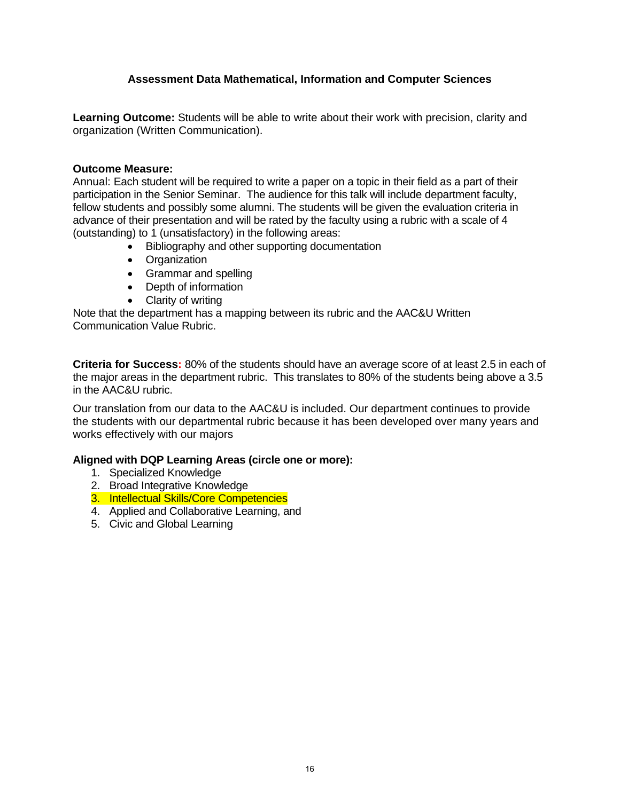**Learning Outcome:** Students will be able to write about their work with precision, clarity and organization (Written Communication).

### **Outcome Measure:**

Annual: Each student will be required to write a paper on a topic in their field as a part of their participation in the Senior Seminar. The audience for this talk will include department faculty, fellow students and possibly some alumni. The students will be given the evaluation criteria in advance of their presentation and will be rated by the faculty using a rubric with a scale of 4 (outstanding) to 1 (unsatisfactory) in the following areas:

- Bibliography and other supporting documentation
- Organization
- Grammar and spelling
- Depth of information
- Clarity of writing

Note that the department has a mapping between its rubric and the AAC&U Written Communication Value Rubric.

**Criteria for Success:** 80% of the students should have an average score of at least 2.5 in each of the major areas in the department rubric. This translates to 80% of the students being above a 3.5 in the AAC&U rubric.

Our translation from our data to the AAC&U is included. Our department continues to provide the students with our departmental rubric because it has been developed over many years and works effectively with our majors

### **Aligned with DQP Learning Areas (circle one or more):**

- 1. Specialized Knowledge
- 2. Broad Integrative Knowledge
- 3. Intellectual Skills/Core Competencies
- 4. Applied and Collaborative Learning, and
- 5. Civic and Global Learning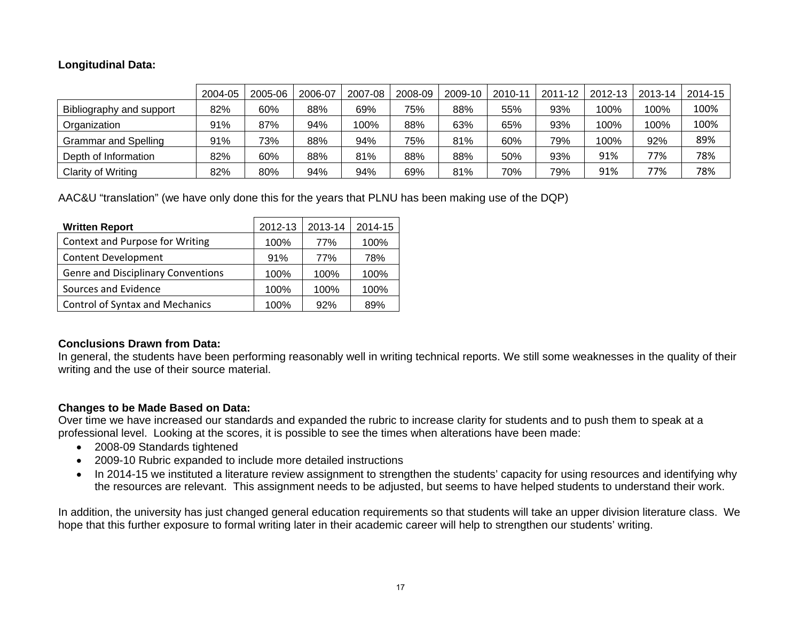### **Longitudinal Data:**

|                             | 2004-05 | 2005-06 | 2006-07 | 2007-08 | 2008-09 | 2009-10 | 2010-11 | 2011-12 | 2012-13 | 2013-14 | 2014-15 |
|-----------------------------|---------|---------|---------|---------|---------|---------|---------|---------|---------|---------|---------|
| Bibliography and support    | 82%     | 60%     | 88%     | 69%     | 75%     | 88%     | 55%     | 93%     | 100%    | 100%    | 100%    |
| Organization                | 91%     | 87%     | 94%     | 100%    | 88%     | 63%     | 65%     | 93%     | 100%    | 100%    | 100%    |
| <b>Grammar and Spelling</b> | 91%     | 73%     | 88%     | 94%     | 75%     | 81%     | 60%     | 79%     | 100%    | 92%     | 89%     |
| Depth of Information        | 82%     | 60%     | 88%     | 81%     | 88%     | 88%     | 50%     | 93%     | 91%     | 77%     | 78%     |
| Clarity of Writing          | 82%     | 80%     | 94%     | 94%     | 69%     | 81%     | 70%     | 79%     | 91%     | 77%     | 78%     |

AAC&U "translation" (we have only done this for the years that PLNU has been making use of the DQP)

| <b>Written Report</b>                     | 2012-13 | 2013-14 | 2014-15 |
|-------------------------------------------|---------|---------|---------|
| Context and Purpose for Writing           | 100%    | 77%     | 100%    |
| Content Development                       | 91%     | 77%     | 78%     |
| <b>Genre and Disciplinary Conventions</b> | 100%    | 100%    | 100%    |
| Sources and Evidence                      | 100%    | 100%    | 100%    |
| <b>Control of Syntax and Mechanics</b>    | 100%    | 92%     | 89%     |

### **Conclusions Drawn from Data:**

In general, the students have been performing reasonably well in writing technical reports. We still some weaknesses in the quality of their writing and the use of their source material.

### **Changes to be Made Based on Data:**

Over time we have increased our standards and expanded the rubric to increase clarity for students and to push them to speak at a professional level. Looking at the scores, it is possible to see the times when alterations have been made:

- 2008-09 Standards tightened
- 2009-10 Rubric expanded to include more detailed instructions
- In 2014-15 we instituted a literature review assignment to strengthen the students' capacity for using resources and identifying why the resources are relevant. This assignment needs to be adjusted, but seems to have helped students to understand their work.

In addition, the university has just changed general education requirements so that students will take an upper division literature class. We hope that this further exposure to formal writing later in their academic career will help to strengthen our students' writing.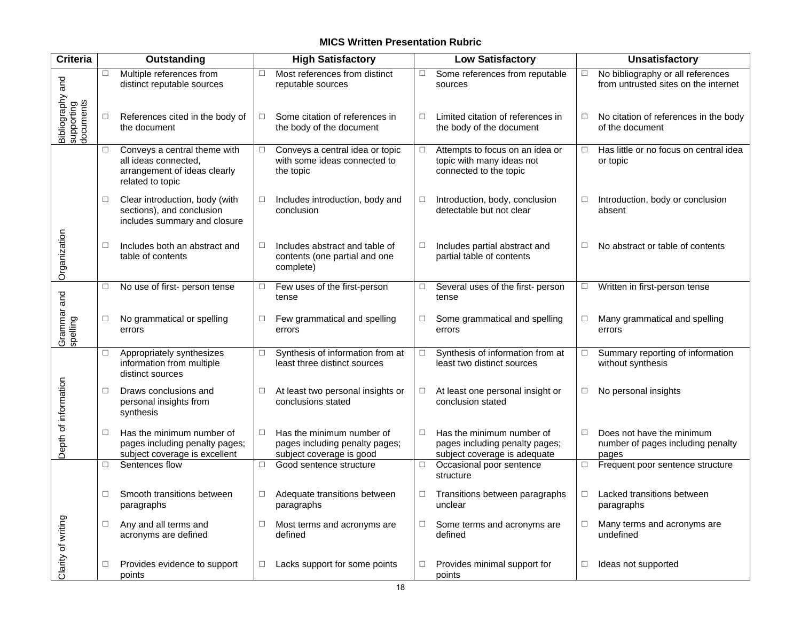### **MICS Written Presentation Rubric**

| <b>Criteria</b>                             | <b>Outstanding</b> |                                                                                                          | <b>High Satisfactory</b> |                                                                                         | <b>Low Satisfactory</b> |                                                                                             |        | <b>Unsatisfactory</b>                                                     |  |  |
|---------------------------------------------|--------------------|----------------------------------------------------------------------------------------------------------|--------------------------|-----------------------------------------------------------------------------------------|-------------------------|---------------------------------------------------------------------------------------------|--------|---------------------------------------------------------------------------|--|--|
|                                             | $\Box$             | Multiple references from<br>distinct reputable sources                                                   | $\Box$                   | Most references from distinct<br>reputable sources                                      | □                       | Some references from reputable<br>sources                                                   | $\Box$ | No bibliography or all references<br>from untrusted sites on the internet |  |  |
| Bibliography and<br>supporting<br>documents | □                  | References cited in the body of<br>the document                                                          | $\Box$                   | Some citation of references in<br>the body of the document                              | □                       | Limited citation of references in<br>the body of the document                               | $\Box$ | No citation of references in the body<br>of the document                  |  |  |
|                                             | □                  | Conveys a central theme with<br>all ideas connected,<br>arrangement of ideas clearly<br>related to topic | $\Box$                   | Conveys a central idea or topic<br>with some ideas connected to<br>the topic            | $\Box$                  | Attempts to focus on an idea or<br>topic with many ideas not<br>connected to the topic      | $\Box$ | Has little or no focus on central idea<br>or topic                        |  |  |
|                                             | $\Box$             | Clear introduction, body (with<br>sections), and conclusion<br>includes summary and closure              | □                        | Includes introduction, body and<br>conclusion                                           | □                       | Introduction, body, conclusion<br>detectable but not clear                                  | □      | Introduction, body or conclusion<br>absent                                |  |  |
| Organization                                | $\Box$             | Includes both an abstract and<br>table of contents                                                       | $\Box$                   | Includes abstract and table of<br>contents (one partial and one<br>complete)            | □                       | Includes partial abstract and<br>partial table of contents                                  | □      | No abstract or table of contents                                          |  |  |
|                                             | □                  | No use of first- person tense                                                                            | $\Box$                   | Few uses of the first-person<br>tense                                                   | □                       | Several uses of the first- person<br>tense                                                  | □      | Written in first-person tense                                             |  |  |
| Grammar and<br>spelling                     | □                  | No grammatical or spelling<br>errors                                                                     | □                        | Few grammatical and spelling<br>errors                                                  | □                       | Some grammatical and spelling<br>errors                                                     | □      | Many grammatical and spelling<br>errors                                   |  |  |
|                                             | $\Box$             | Appropriately synthesizes<br>information from multiple<br>distinct sources                               | $\Box$                   | Synthesis of information from at<br>least three distinct sources                        | □                       | Synthesis of information from at<br>least two distinct sources                              | □      | Summary reporting of information<br>without synthesis                     |  |  |
| Depth of information                        | $\Box$             | Draws conclusions and<br>personal insights from<br>synthesis                                             | □                        | At least two personal insights or<br>conclusions stated                                 | $\Box$                  | At least one personal insight or<br>conclusion stated                                       | $\Box$ | No personal insights                                                      |  |  |
|                                             | $\Box$             | Has the minimum number of<br>pages including penalty pages;<br>subject coverage is excellent             | $\Box$                   | Has the minimum number of<br>pages including penalty pages;<br>subject coverage is good | $\Box$                  | Has the minimum number of<br>pages including penalty pages;<br>subject coverage is adequate | □      | Does not have the minimum<br>number of pages including penalty<br>pages   |  |  |
|                                             | $\Box$             | Sentences flow                                                                                           | $\Box$                   | Good sentence structure                                                                 | $\Box$                  | Occasional poor sentence<br>structure                                                       | $\Box$ | Frequent poor sentence structure                                          |  |  |
|                                             | □                  | Smooth transitions between<br>paragraphs                                                                 | $\Box$                   | Adequate transitions between<br>paragraphs                                              | □                       | Transitions between paragraphs<br>unclear                                                   | □      | Lacked transitions between<br>paragraphs                                  |  |  |
| Clarity of writing                          | □                  | Any and all terms and<br>acronyms are defined                                                            | □                        | Most terms and acronyms are<br>defined                                                  | □                       | Some terms and acronyms are.<br>defined                                                     | $\Box$ | Many terms and acronyms are<br>undefined                                  |  |  |
|                                             | □                  | Provides evidence to support<br>points                                                                   | $\Box$                   | Lacks support for some points                                                           | □                       | Provides minimal support for<br>points                                                      | □      | Ideas not supported                                                       |  |  |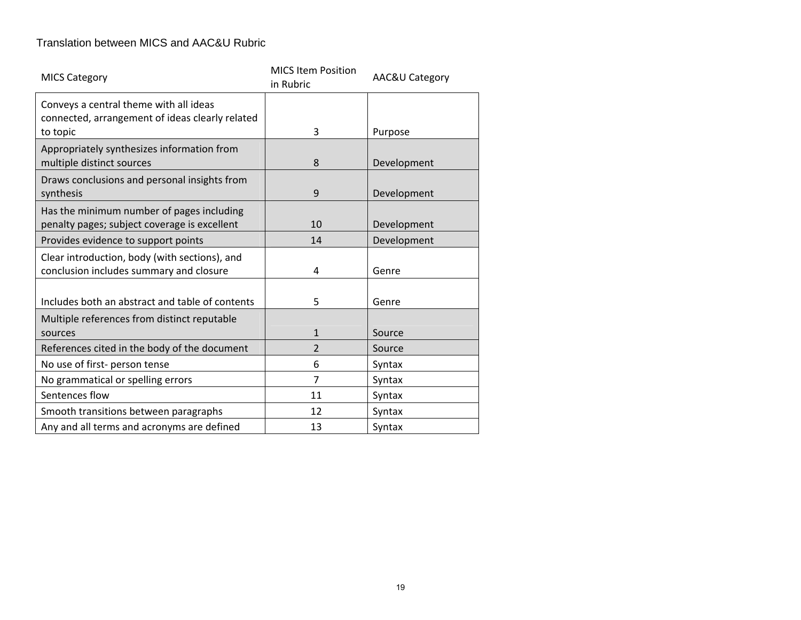### Translation between MICS and AAC&U Rubric

| <b>MICS Category</b>                                                                      | <b>MICS Item Position</b><br>in Rubric | AAC&U Category |
|-------------------------------------------------------------------------------------------|----------------------------------------|----------------|
| Conveys a central theme with all ideas<br>connected, arrangement of ideas clearly related |                                        |                |
| to topic                                                                                  | 3                                      | Purpose        |
| Appropriately synthesizes information from<br>multiple distinct sources                   | 8                                      | Development    |
| Draws conclusions and personal insights from<br>synthesis                                 | 9                                      | Development    |
| Has the minimum number of pages including<br>penalty pages; subject coverage is excellent | 10                                     | Development    |
| Provides evidence to support points                                                       | 14                                     | Development    |
| Clear introduction, body (with sections), and<br>conclusion includes summary and closure  | $\overline{a}$                         | Genre          |
| Includes both an abstract and table of contents                                           | 5                                      | Genre          |
| Multiple references from distinct reputable<br>sources                                    | $\mathbf{1}$                           | Source         |
| References cited in the body of the document                                              | $\overline{2}$                         | Source         |
| No use of first- person tense                                                             | 6                                      | Syntax         |
| No grammatical or spelling errors                                                         | $\overline{7}$                         | Syntax         |
| Sentences flow                                                                            | 11                                     | Syntax         |
| Smooth transitions between paragraphs                                                     | 12                                     | Syntax         |
| Any and all terms and acronyms are defined                                                | 13                                     | Syntax         |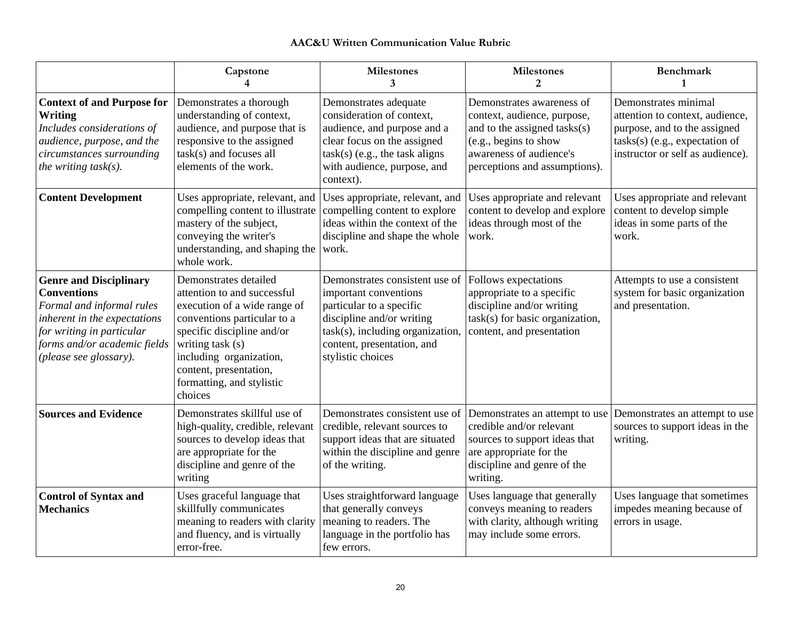#### **AAC&U Written Communication Value Rubric**

|                                                                                                                                                                                                         | Capstone                                                                                                                                                                                                                                                           | <b>Milestones</b><br>3                                                                                                                                                                                     | <b>Milestones</b><br>$\overline{2}$                                                                                                                                           | <b>Benchmark</b><br>1                                                                                                                                           |
|---------------------------------------------------------------------------------------------------------------------------------------------------------------------------------------------------------|--------------------------------------------------------------------------------------------------------------------------------------------------------------------------------------------------------------------------------------------------------------------|------------------------------------------------------------------------------------------------------------------------------------------------------------------------------------------------------------|-------------------------------------------------------------------------------------------------------------------------------------------------------------------------------|-----------------------------------------------------------------------------------------------------------------------------------------------------------------|
| <b>Context of and Purpose for</b><br><b>Writing</b><br>Includes considerations of<br>audience, purpose, and the<br>circumstances surrounding<br>the writing $task(s)$ .                                 | Demonstrates a thorough<br>understanding of context,<br>audience, and purpose that is<br>responsive to the assigned<br>task(s) and focuses all<br>elements of the work.                                                                                            | Demonstrates adequate<br>consideration of context,<br>audience, and purpose and a<br>clear focus on the assigned<br>$task(s)$ (e.g., the task aligns<br>with audience, purpose, and<br>context).           | Demonstrates awareness of<br>context, audience, purpose,<br>and to the assigned tasks(s)<br>(e.g., begins to show<br>awareness of audience's<br>perceptions and assumptions). | Demonstrates minimal<br>attention to context, audience,<br>purpose, and to the assigned<br>$tasks(s)$ (e.g., expectation of<br>instructor or self as audience). |
| <b>Content Development</b>                                                                                                                                                                              | Uses appropriate, relevant, and<br>compelling content to illustrate<br>mastery of the subject,<br>conveying the writer's<br>understanding, and shaping the<br>whole work.                                                                                          | Uses appropriate, relevant, and<br>compelling content to explore<br>ideas within the context of the<br>discipline and shape the whole<br>work.                                                             | Uses appropriate and relevant<br>content to develop and explore<br>ideas through most of the<br>work.                                                                         | Uses appropriate and relevant<br>content to develop simple<br>ideas in some parts of the<br>work.                                                               |
| <b>Genre and Disciplinary</b><br><b>Conventions</b><br>Formal and informal rules<br>inherent in the expectations<br>for writing in particular<br>forms and/or academic fields<br>(please see glossary). | Demonstrates detailed<br>attention to and successful<br>execution of a wide range of<br>conventions particular to a<br>specific discipline and/or<br>writing task (s)<br>including organization,<br>content, presentation,<br>formatting, and stylistic<br>choices | Demonstrates consistent use of<br>important conventions<br>particular to a specific<br>discipline and/or writing<br>$task(s)$ , including organization,<br>content, presentation, and<br>stylistic choices | Follows expectations<br>appropriate to a specific<br>discipline and/or writing<br>task(s) for basic organization,<br>content, and presentation                                | Attempts to use a consistent<br>system for basic organization<br>and presentation.                                                                              |
| <b>Sources and Evidence</b>                                                                                                                                                                             | Demonstrates skillful use of<br>high-quality, credible, relevant<br>sources to develop ideas that<br>are appropriate for the<br>discipline and genre of the<br>writing                                                                                             | Demonstrates consistent use of<br>credible, relevant sources to<br>support ideas that are situated<br>within the discipline and genre<br>of the writing.                                                   | Demonstrates an attempt to use<br>credible and/or relevant<br>sources to support ideas that<br>are appropriate for the<br>discipline and genre of the<br>writing.             | Demonstrates an attempt to use<br>sources to support ideas in the<br>writing.                                                                                   |
| <b>Control of Syntax and</b><br><b>Mechanics</b>                                                                                                                                                        | Uses graceful language that<br>skillfully communicates<br>meaning to readers with clarity<br>and fluency, and is virtually<br>error-free.                                                                                                                          | Uses straightforward language<br>that generally conveys<br>meaning to readers. The<br>language in the portfolio has<br>few errors.                                                                         | Uses language that generally<br>conveys meaning to readers<br>with clarity, although writing<br>may include some errors.                                                      | Uses language that sometimes<br>impedes meaning because of<br>errors in usage.                                                                                  |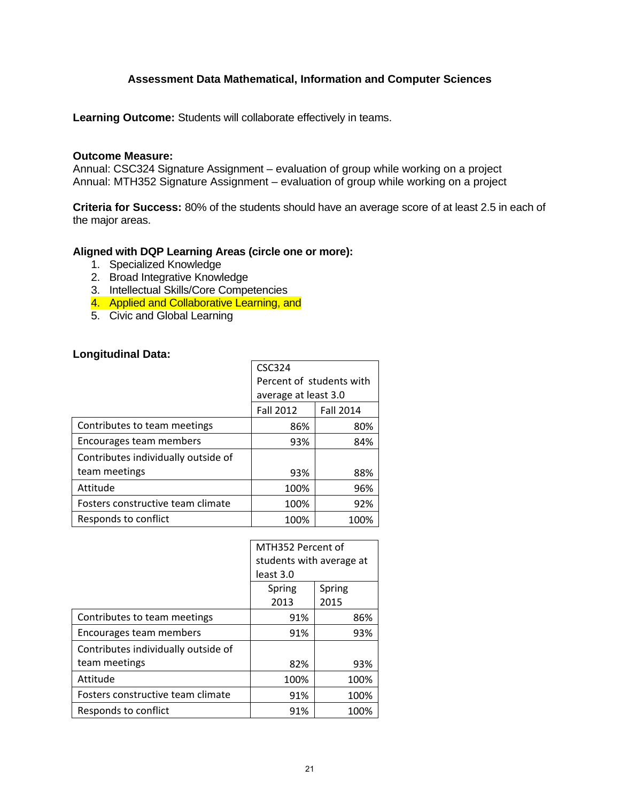**Learning Outcome:** Students will collaborate effectively in teams.

### **Outcome Measure:**

Annual: CSC324 Signature Assignment – evaluation of group while working on a project Annual: MTH352 Signature Assignment – evaluation of group while working on a project

**Criteria for Success:** 80% of the students should have an average score of at least 2.5 in each of the major areas.

#### **Aligned with DQP Learning Areas (circle one or more):**

- 1. Specialized Knowledge
- 2. Broad Integrative Knowledge
- 3. Intellectual Skills/Core Competencies
- 4. Applied and Collaborative Learning, and
- 5. Civic and Global Learning

### **Longitudinal Data:**

|                                     | <b>CSC324</b>                        |      |  |  |
|-------------------------------------|--------------------------------------|------|--|--|
|                                     | Percent of students with             |      |  |  |
|                                     | average at least 3.0                 |      |  |  |
|                                     | <b>Fall 2012</b><br><b>Fall 2014</b> |      |  |  |
| Contributes to team meetings        | 86%                                  | 80%  |  |  |
| Encourages team members             | 93%                                  | 84%  |  |  |
| Contributes individually outside of |                                      |      |  |  |
| team meetings                       | 93%                                  | 88%  |  |  |
| Attitude                            | 100%                                 | 96%  |  |  |
| Fosters constructive team climate   | 100%                                 | 92%  |  |  |
| Responds to conflict                | 100%                                 | 100% |  |  |

|                                     | MTH352 Percent of        |      |  |  |
|-------------------------------------|--------------------------|------|--|--|
|                                     | students with average at |      |  |  |
|                                     | least 3.0                |      |  |  |
|                                     | Spring<br>Spring         |      |  |  |
|                                     | 2013<br>2015             |      |  |  |
| Contributes to team meetings        | 91%                      | 86%  |  |  |
| Encourages team members             | 91%                      | 93%  |  |  |
| Contributes individually outside of |                          |      |  |  |
| team meetings                       | 82%                      | 93%  |  |  |
| Attitude                            | 100%                     | 100% |  |  |
| Fosters constructive team climate   | 91%                      | 100% |  |  |
| Responds to conflict                | 91%                      | 100% |  |  |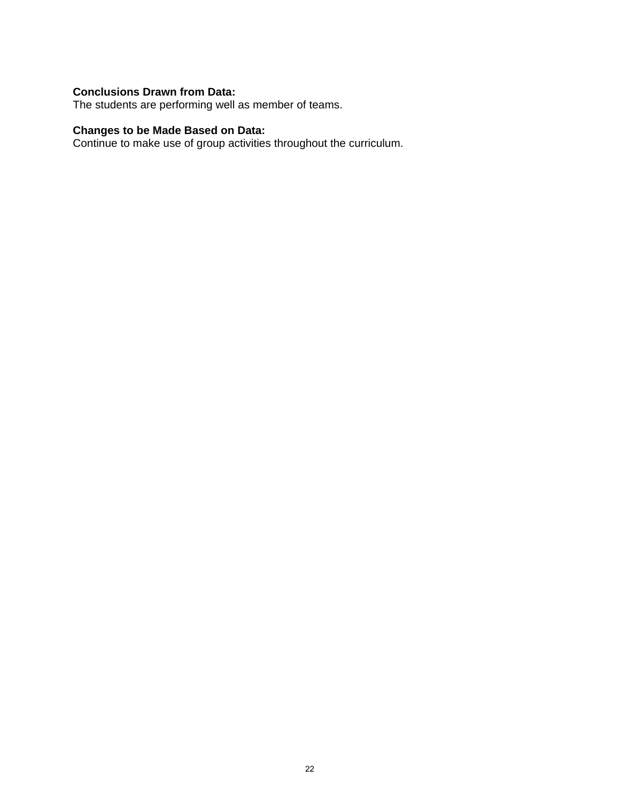### **Conclusions Drawn from Data:**

The students are performing well as member of teams.

#### **Changes to be Made Based on Data:**

Continue to make use of group activities throughout the curriculum.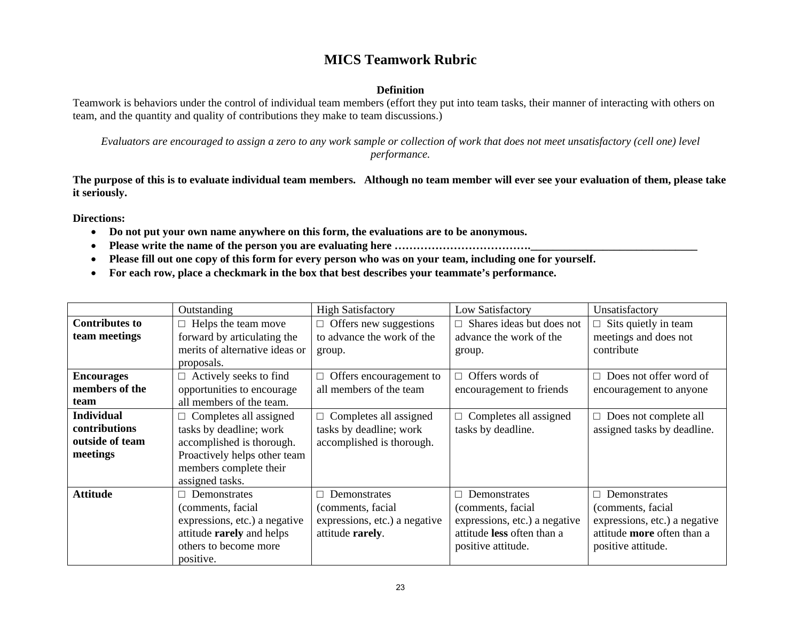## **MICS Teamwork Rubric**

#### **Definition**

Teamwork is behaviors under the control of individual team members (effort they put into team tasks, their manner of interacting with others on team, and the quantity and quality of contributions they make to team discussions.)

*Evaluators are encouraged to assign a zero to any work sample or collection of work that does not meet unsatisfactory (cell one) level performance.* 

**The purpose of this is to evaluate individual team members. Although no team member will ever see your evaluation of them, please take it seriously.** 

**Directions:** 

- **Do not put your own name anywhere on this form, the evaluations are to be anonymous.**
- **Please write the name of the person you are evaluating here ……………………………….\_\_\_\_\_\_\_\_\_\_\_\_\_\_\_\_\_\_\_\_\_\_\_\_\_\_\_\_\_\_**
- $\bullet$ **Please fill out one copy of this form for every person who was on your team, including one for yourself.**
- **For each row, place a checkmark in the box that best describes your teammate's performance.**

|                       | Outstanding                    | <b>High Satisfactory</b>       | Low Satisfactory              | Unsatisfactory                |
|-----------------------|--------------------------------|--------------------------------|-------------------------------|-------------------------------|
| <b>Contributes to</b> | $\Box$ Helps the team move     | $\Box$ Offers new suggestions  | Shares ideas but does not     | $\Box$ Sits quietly in team   |
| team meetings         | forward by articulating the    | to advance the work of the     | advance the work of the       | meetings and does not         |
|                       | merits of alternative ideas or | group.                         | group.                        | contribute                    |
|                       | proposals.                     |                                |                               |                               |
| <b>Encourages</b>     | $\Box$ Actively seeks to find  | $\Box$ Offers encouragement to | Offers words of               | $\Box$ Does not offer word of |
| members of the        | opportunities to encourage     | all members of the team        | encouragement to friends      | encouragement to anyone       |
| team                  | all members of the team.       |                                |                               |                               |
| <b>Individual</b>     | $\Box$ Completes all assigned  | $\Box$ Completes all assigned  | Completes all assigned        | $\Box$ Does not complete all  |
| contributions         | tasks by deadline; work        | tasks by deadline; work        | tasks by deadline.            | assigned tasks by deadline.   |
| outside of team       | accomplished is thorough.      | accomplished is thorough.      |                               |                               |
| meetings              | Proactively helps other team   |                                |                               |                               |
|                       | members complete their         |                                |                               |                               |
|                       | assigned tasks.                |                                |                               |                               |
| <b>Attitude</b>       | Demonstrates<br>П.             | Demonstrates<br>П.             | Demonstrates                  | $\Box$ Demonstrates           |
|                       | (comments, facial              | (comments, facial              | (comments, facial             | (comments, facial             |
|                       | expressions, etc.) a negative  | expressions, etc.) a negative  | expressions, etc.) a negative | expressions, etc.) a negative |
|                       | attitude rarely and helps      | attitude rarely.               | attitude less often than a    | attitude more often than a    |
|                       | others to become more          |                                | positive attitude.            | positive attitude.            |
|                       | positive.                      |                                |                               |                               |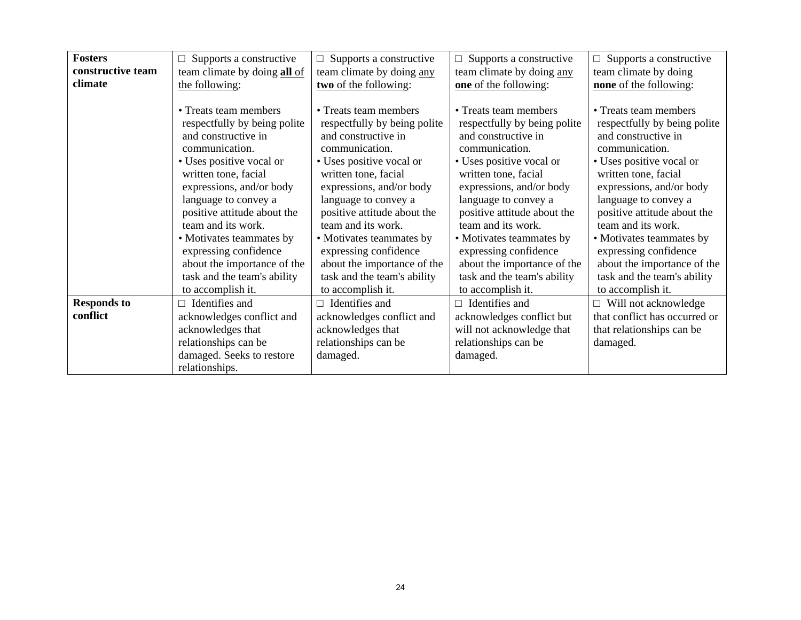| <b>Fosters</b>     | Supports a constructive      | $\Box$ Supports a constructive | Supports a constructive<br>$\Box$ | $\Box$ Supports a constructive |
|--------------------|------------------------------|--------------------------------|-----------------------------------|--------------------------------|
| constructive team  | team climate by doing all of | team climate by doing any      | team climate by doing any         | team climate by doing          |
| climate            | the following:               | two of the following:          | one of the following:             | none of the following:         |
|                    |                              |                                |                                   |                                |
|                    | • Treats team members        | • Treats team members          | • Treats team members             | • Treats team members          |
|                    | respectfully by being polite | respectfully by being polite   | respectfully by being polite      | respectfully by being polite   |
|                    | and constructive in          | and constructive in            | and constructive in               | and constructive in            |
|                    | communication.               | communication.                 | communication.                    | communication.                 |
|                    | • Uses positive vocal or     | • Uses positive vocal or       | • Uses positive vocal or          | • Uses positive vocal or       |
|                    | written tone, facial         | written tone, facial           | written tone, facial              | written tone, facial           |
|                    | expressions, and/or body     | expressions, and/or body       | expressions, and/or body          | expressions, and/or body       |
|                    | language to convey a         | language to convey a           | language to convey a              | language to convey a           |
|                    | positive attitude about the  | positive attitude about the    | positive attitude about the       | positive attitude about the    |
|                    | team and its work.           | team and its work.             | team and its work.                | team and its work.             |
|                    | • Motivates teammates by     | • Motivates teammates by       | • Motivates teammates by          | • Motivates teammates by       |
|                    | expressing confidence        | expressing confidence          | expressing confidence             | expressing confidence          |
|                    | about the importance of the  | about the importance of the    | about the importance of the       | about the importance of the    |
|                    | task and the team's ability  | task and the team's ability    | task and the team's ability       | task and the team's ability    |
|                    | to accomplish it.            | to accomplish it.              | to accomplish it.                 | to accomplish it.              |
| <b>Responds to</b> | Identifies and               | Identifies and<br>П            | Identifies and                    | $\Box$ Will not acknowledge    |
| conflict           | acknowledges conflict and    | acknowledges conflict and      | acknowledges conflict but         | that conflict has occurred or  |
|                    | acknowledges that            | acknowledges that              | will not acknowledge that         | that relationships can be      |
|                    | relationships can be         | relationships can be           | relationships can be              | damaged.                       |
|                    | damaged. Seeks to restore    | damaged.                       | damaged.                          |                                |
|                    | relationships.               |                                |                                   |                                |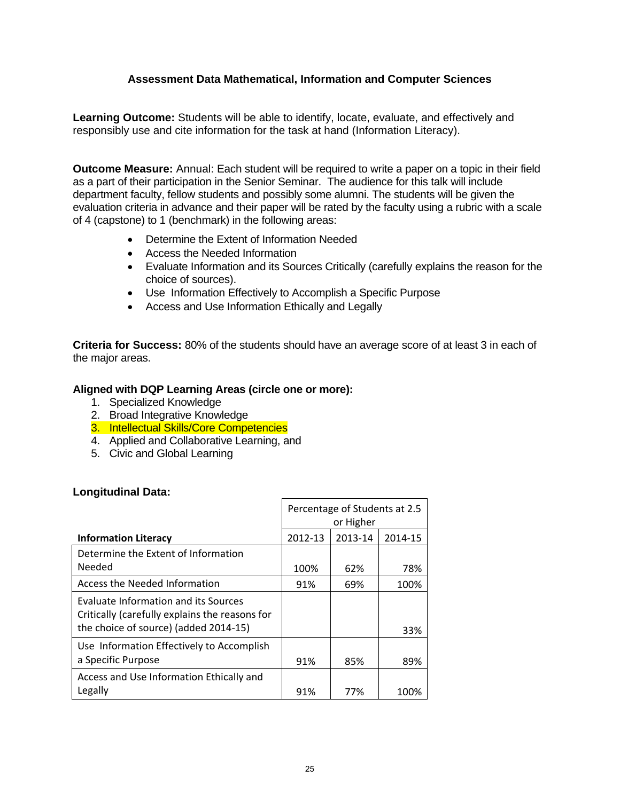**Learning Outcome:** Students will be able to identify, locate, evaluate, and effectively and responsibly use and cite information for the task at hand (Information Literacy).

**Outcome Measure:** Annual: Each student will be required to write a paper on a topic in their field as a part of their participation in the Senior Seminar. The audience for this talk will include department faculty, fellow students and possibly some alumni. The students will be given the evaluation criteria in advance and their paper will be rated by the faculty using a rubric with a scale of 4 (capstone) to 1 (benchmark) in the following areas:

- Determine the Extent of Information Needed
- Access the Needed Information
- Evaluate Information and its Sources Critically (carefully explains the reason for the choice of sources).
- Use Information Effectively to Accomplish a Specific Purpose
- Access and Use Information Ethically and Legally

**Criteria for Success:** 80% of the students should have an average score of at least 3 in each of the major areas.

### **Aligned with DQP Learning Areas (circle one or more):**

- 1. Specialized Knowledge
- 2. Broad Integrative Knowledge
- 3. Intellectual Skills/Core Competencies
- 4. Applied and Collaborative Learning, and
- 5. Civic and Global Learning

### **Longitudinal Data:**

|                                                                                                                                 | Percentage of Students at 2.5<br>or Higher |         |         |  |
|---------------------------------------------------------------------------------------------------------------------------------|--------------------------------------------|---------|---------|--|
| <b>Information Literacy</b>                                                                                                     | 2012-13                                    | 2013-14 | 2014-15 |  |
| Determine the Extent of Information                                                                                             |                                            |         |         |  |
| Needed                                                                                                                          | 100%                                       | 62%     | 78%     |  |
| Access the Needed Information                                                                                                   | 91%                                        | 69%     | 100%    |  |
| Evaluate Information and its Sources<br>Critically (carefully explains the reasons for<br>the choice of source) (added 2014-15) |                                            |         | 33%     |  |
| Use Information Effectively to Accomplish<br>a Specific Purpose                                                                 | 91%                                        | 85%     | 89%     |  |
| Access and Use Information Ethically and<br>Legally                                                                             | 91%                                        | 77%     | 100%    |  |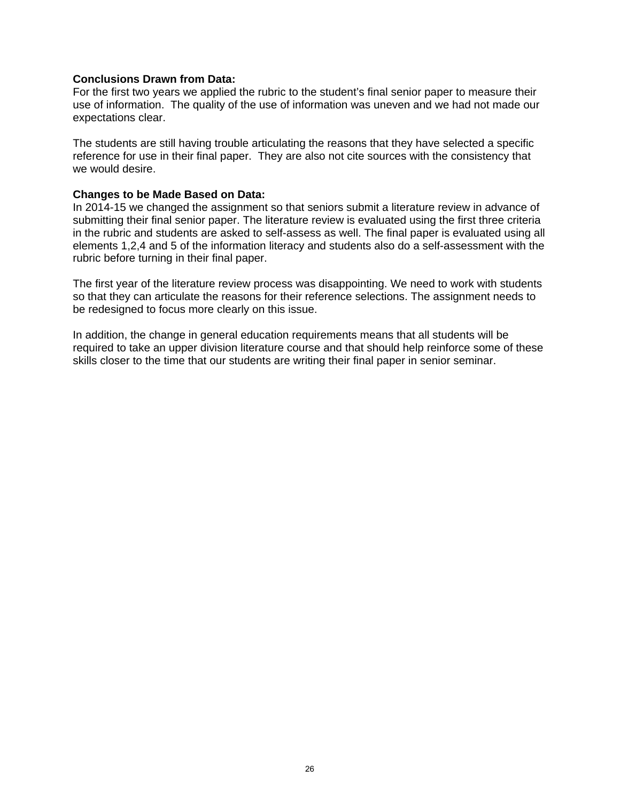#### **Conclusions Drawn from Data:**

For the first two years we applied the rubric to the student's final senior paper to measure their use of information. The quality of the use of information was uneven and we had not made our expectations clear.

The students are still having trouble articulating the reasons that they have selected a specific reference for use in their final paper. They are also not cite sources with the consistency that we would desire.

#### **Changes to be Made Based on Data:**

In 2014-15 we changed the assignment so that seniors submit a literature review in advance of submitting their final senior paper. The literature review is evaluated using the first three criteria in the rubric and students are asked to self-assess as well. The final paper is evaluated using all elements 1,2,4 and 5 of the information literacy and students also do a self-assessment with the rubric before turning in their final paper.

The first year of the literature review process was disappointing. We need to work with students so that they can articulate the reasons for their reference selections. The assignment needs to be redesigned to focus more clearly on this issue.

In addition, the change in general education requirements means that all students will be required to take an upper division literature course and that should help reinforce some of these skills closer to the time that our students are writing their final paper in senior seminar.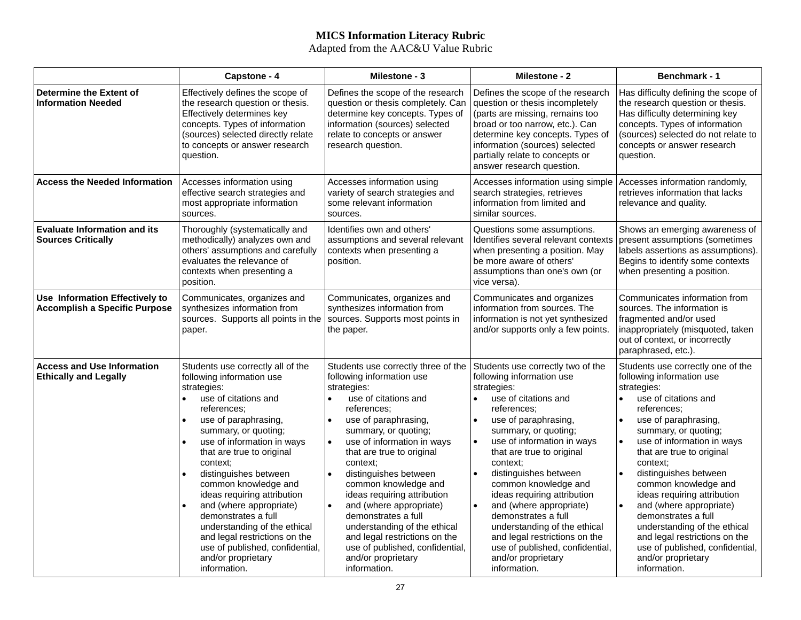### **MICS Information Literacy Rubric**

Adapted from the AAC&U Value Rubric

|                                                                        | Capstone - 4                                                                                                                                                                                                                                                                                                                                                                                                                                                                                                            | Milestone - 3                                                                                                                                                                                                                                                                                                                                                                                                                                                                                                                                                    | Milestone - 2                                                                                                                                                                                                                                                                                                                                                                                                                                                                                                                                                  | <b>Benchmark - 1</b>                                                                                                                                                                                                                                                                                                                                                                                                                                                                                                                                                                     |
|------------------------------------------------------------------------|-------------------------------------------------------------------------------------------------------------------------------------------------------------------------------------------------------------------------------------------------------------------------------------------------------------------------------------------------------------------------------------------------------------------------------------------------------------------------------------------------------------------------|------------------------------------------------------------------------------------------------------------------------------------------------------------------------------------------------------------------------------------------------------------------------------------------------------------------------------------------------------------------------------------------------------------------------------------------------------------------------------------------------------------------------------------------------------------------|----------------------------------------------------------------------------------------------------------------------------------------------------------------------------------------------------------------------------------------------------------------------------------------------------------------------------------------------------------------------------------------------------------------------------------------------------------------------------------------------------------------------------------------------------------------|------------------------------------------------------------------------------------------------------------------------------------------------------------------------------------------------------------------------------------------------------------------------------------------------------------------------------------------------------------------------------------------------------------------------------------------------------------------------------------------------------------------------------------------------------------------------------------------|
| Determine the Extent of<br><b>Information Needed</b>                   | Effectively defines the scope of<br>the research question or thesis.<br>Effectively determines key<br>concepts. Types of information<br>(sources) selected directly relate<br>to concepts or answer research<br>question.                                                                                                                                                                                                                                                                                               | Defines the scope of the research<br>question or thesis completely. Can<br>determine key concepts. Types of<br>information (sources) selected<br>relate to concepts or answer<br>research question.                                                                                                                                                                                                                                                                                                                                                              | Defines the scope of the research<br>question or thesis incompletely<br>(parts are missing, remains too<br>broad or too narrow, etc.). Can<br>determine key concepts. Types of<br>information (sources) selected<br>partially relate to concepts or<br>answer research question.                                                                                                                                                                                                                                                                               | Has difficulty defining the scope of<br>the research question or thesis.<br>Has difficulty determining key<br>concepts. Types of information<br>(sources) selected do not relate to<br>concepts or answer research<br>question.                                                                                                                                                                                                                                                                                                                                                          |
| <b>Access the Needed Information</b>                                   | Accesses information using<br>effective search strategies and<br>most appropriate information<br>sources.                                                                                                                                                                                                                                                                                                                                                                                                               | Accesses information using<br>variety of search strategies and<br>some relevant information<br>sources.                                                                                                                                                                                                                                                                                                                                                                                                                                                          | Accesses information using simple<br>search strategies, retrieves<br>information from limited and<br>similar sources.                                                                                                                                                                                                                                                                                                                                                                                                                                          | Accesses information randomly,<br>retrieves information that lacks<br>relevance and quality.                                                                                                                                                                                                                                                                                                                                                                                                                                                                                             |
| <b>Evaluate Information and its</b><br><b>Sources Critically</b>       | Thoroughly (systematically and<br>methodically) analyzes own and<br>others' assumptions and carefully<br>evaluates the relevance of<br>contexts when presenting a<br>position.                                                                                                                                                                                                                                                                                                                                          | Identifies own and others'<br>assumptions and several relevant<br>contexts when presenting a<br>position.                                                                                                                                                                                                                                                                                                                                                                                                                                                        | Questions some assumptions.<br>Identifies several relevant contexts<br>when presenting a position. May<br>be more aware of others'<br>assumptions than one's own (or<br>vice versa).                                                                                                                                                                                                                                                                                                                                                                           | Shows an emerging awareness of<br>present assumptions (sometimes<br>labels assertions as assumptions).<br>Begins to identify some contexts<br>when presenting a position.                                                                                                                                                                                                                                                                                                                                                                                                                |
| Use Information Effectively to<br><b>Accomplish a Specific Purpose</b> | Communicates, organizes and<br>synthesizes information from<br>sources. Supports all points in the<br>paper.                                                                                                                                                                                                                                                                                                                                                                                                            | Communicates, organizes and<br>synthesizes information from<br>sources. Supports most points in<br>the paper.                                                                                                                                                                                                                                                                                                                                                                                                                                                    | Communicates and organizes<br>information from sources. The<br>information is not yet synthesized<br>and/or supports only a few points.                                                                                                                                                                                                                                                                                                                                                                                                                        | Communicates information from<br>sources. The information is<br>fragmented and/or used<br>inappropriately (misquoted, taken<br>out of context, or incorrectly<br>paraphrased, etc.).                                                                                                                                                                                                                                                                                                                                                                                                     |
| <b>Access and Use Information</b><br><b>Ethically and Legally</b>      | Students use correctly all of the<br>following information use<br>strategies:<br>use of citations and<br>references:<br>use of paraphrasing,<br>summary, or quoting;<br>use of information in ways<br>that are true to original<br>context:<br>distinguishes between<br>common knowledge and<br>ideas requiring attribution<br>and (where appropriate)<br>demonstrates a full<br>understanding of the ethical<br>and legal restrictions on the<br>use of published, confidential,<br>and/or proprietary<br>information. | Students use correctly three of the<br>following information use<br>strategies:<br>use of citations and<br>references:<br>use of paraphrasing,<br>summary, or quoting;<br>use of information in ways<br>$\bullet$<br>that are true to original<br>context:<br>distinguishes between<br>$\bullet$<br>common knowledge and<br>ideas requiring attribution<br>and (where appropriate)<br>$\bullet$<br>demonstrates a full<br>understanding of the ethical<br>and legal restrictions on the<br>use of published, confidential,<br>and/or proprietary<br>information. | Students use correctly two of the<br>following information use<br>strategies:<br>use of citations and<br>$\bullet$<br>references:<br>use of paraphrasing,<br>summary, or quoting;<br>use of information in ways<br>that are true to original<br>context:<br>distinguishes between<br>$\bullet$<br>common knowledge and<br>ideas requiring attribution<br>and (where appropriate)<br>$\bullet$<br>demonstrates a full<br>understanding of the ethical<br>and legal restrictions on the<br>use of published, confidential,<br>and/or proprietary<br>information. | Students use correctly one of the<br>following information use<br>strategies:<br>use of citations and<br>$\bullet$<br>references:<br>use of paraphrasing,<br>$\bullet$<br>summary, or quoting;<br>use of information in ways<br>$\bullet$<br>that are true to original<br>context:<br>distinguishes between<br>$\bullet$<br>common knowledge and<br>ideas requiring attribution<br>and (where appropriate)<br>$\bullet$<br>demonstrates a full<br>understanding of the ethical<br>and legal restrictions on the<br>use of published, confidential,<br>and/or proprietary<br>information. |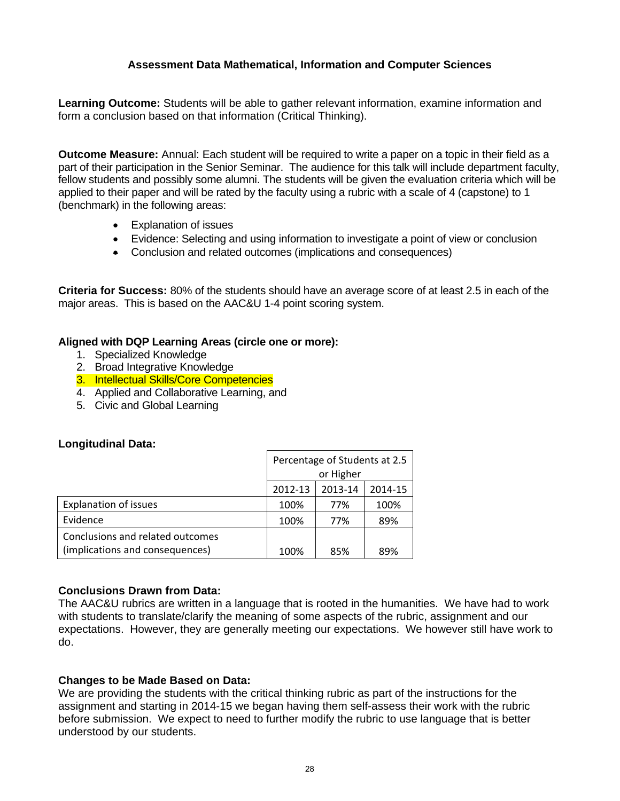**Learning Outcome:** Students will be able to gather relevant information, examine information and form a conclusion based on that information (Critical Thinking).

**Outcome Measure:** Annual: Each student will be required to write a paper on a topic in their field as a part of their participation in the Senior Seminar. The audience for this talk will include department faculty, fellow students and possibly some alumni. The students will be given the evaluation criteria which will be applied to their paper and will be rated by the faculty using a rubric with a scale of 4 (capstone) to 1 (benchmark) in the following areas:

- Explanation of issues
- Evidence: Selecting and using information to investigate a point of view or conclusion
- Conclusion and related outcomes (implications and consequences)

**Criteria for Success:** 80% of the students should have an average score of at least 2.5 in each of the major areas. This is based on the AAC&U 1-4 point scoring system.

### **Aligned with DQP Learning Areas (circle one or more):**

- 1. Specialized Knowledge
- 2. Broad Integrative Knowledge
- 3. Intellectual Skills/Core Competencies
- 4. Applied and Collaborative Learning, and
- 5. Civic and Global Learning

### **Longitudinal Data:**

|                                  | Percentage of Students at 2.5 |     |      |
|----------------------------------|-------------------------------|-----|------|
|                                  | or Higher                     |     |      |
|                                  | 2013-14<br>2012-13<br>2014-15 |     |      |
| <b>Explanation of issues</b>     | 100%                          | 77% | 100% |
| Evidence                         | 100%                          | 77% | 89%  |
| Conclusions and related outcomes |                               |     |      |
| (implications and consequences)  | 100%                          | 85% | 89%  |

### **Conclusions Drawn from Data:**

The AAC&U rubrics are written in a language that is rooted in the humanities. We have had to work with students to translate/clarify the meaning of some aspects of the rubric, assignment and our expectations. However, they are generally meeting our expectations. We however still have work to do.

### **Changes to be Made Based on Data:**

We are providing the students with the critical thinking rubric as part of the instructions for the assignment and starting in 2014-15 we began having them self-assess their work with the rubric before submission. We expect to need to further modify the rubric to use language that is better understood by our students.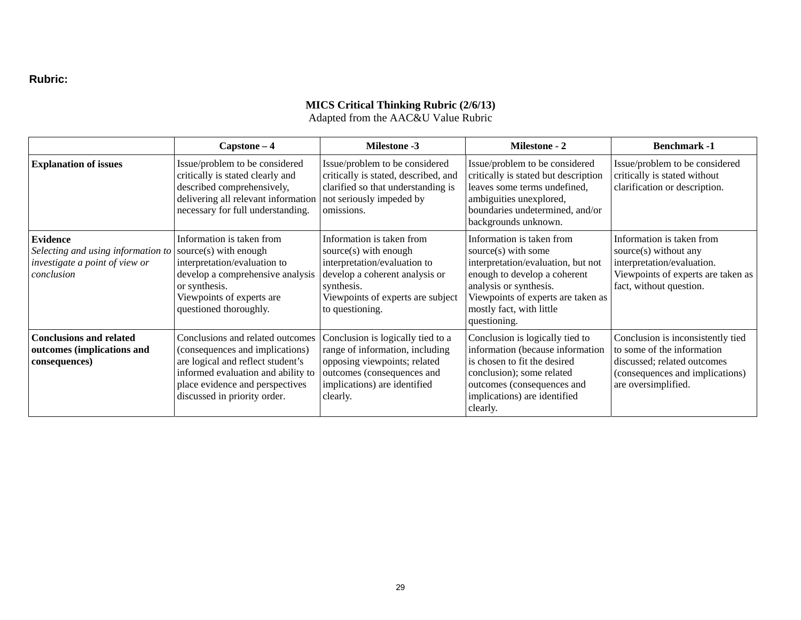#### **Rubric:**

### **MICS Critical Thinking Rubric (2/6/13)**

Adapted from the AAC&U Value Rubric

|                                                                                                       | $Capstone-4$                                                                                                                                                                                                      | <b>Milestone -3</b>                                                                                                                                                                        | Milestone - 2                                                                                                                                                                                                                      | <b>Benchmark-1</b>                                                                                                                                       |
|-------------------------------------------------------------------------------------------------------|-------------------------------------------------------------------------------------------------------------------------------------------------------------------------------------------------------------------|--------------------------------------------------------------------------------------------------------------------------------------------------------------------------------------------|------------------------------------------------------------------------------------------------------------------------------------------------------------------------------------------------------------------------------------|----------------------------------------------------------------------------------------------------------------------------------------------------------|
| <b>Explanation of issues</b>                                                                          | Issue/problem to be considered<br>critically is stated clearly and<br>described comprehensively,<br>delivering all relevant information<br>necessary for full understanding.                                      | Issue/problem to be considered<br>critically is stated, described, and<br>clarified so that understanding is<br>not seriously impeded by<br>omissions.                                     | Issue/problem to be considered<br>critically is stated but description<br>leaves some terms undefined,<br>ambiguities unexplored,<br>boundaries undetermined, and/or<br>backgrounds unknown.                                       | Issue/problem to be considered<br>critically is stated without<br>clarification or description.                                                          |
| <b>Evidence</b><br>Selecting and using information to<br>investigate a point of view or<br>conclusion | Information is taken from<br>source(s) with enough<br>interpretation/evaluation to<br>develop a comprehensive analysis<br>or synthesis.<br>Viewpoints of experts are<br>questioned thoroughly.                    | Information is taken from<br>source(s) with enough<br>interpretation/evaluation to<br>develop a coherent analysis or<br>synthesis.<br>Viewpoints of experts are subject<br>to questioning. | Information is taken from<br>source(s) with some<br>interpretation/evaluation, but not<br>enough to develop a coherent<br>analysis or synthesis.<br>Viewpoints of experts are taken as<br>mostly fact, with little<br>questioning. | Information is taken from<br>source(s) without any<br>interpretation/evaluation.<br>Viewpoints of experts are taken as<br>fact, without question.        |
| <b>Conclusions and related</b><br>outcomes (implications and<br>consequences)                         | Conclusions and related outcomes<br>(consequences and implications)<br>are logical and reflect student's<br>informed evaluation and ability to<br>place evidence and perspectives<br>discussed in priority order. | Conclusion is logically tied to a<br>range of information, including<br>opposing viewpoints; related<br>outcomes (consequences and<br>implications) are identified<br>clearly.             | Conclusion is logically tied to<br>information (because information<br>is chosen to fit the desired<br>conclusion); some related<br>outcomes (consequences and<br>implications) are identified<br>clearly.                         | Conclusion is inconsistently tied<br>to some of the information<br>discussed; related outcomes<br>(consequences and implications)<br>are oversimplified. |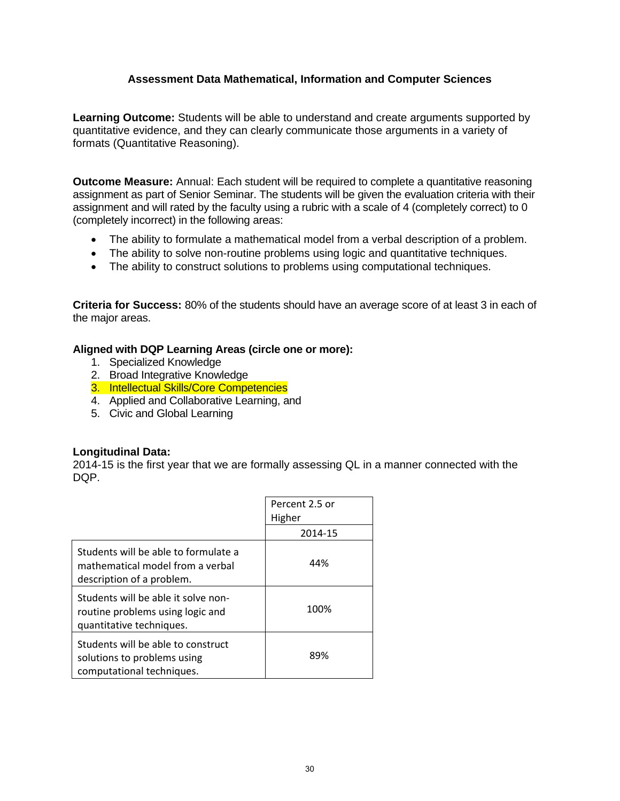**Learning Outcome:** Students will be able to understand and create arguments supported by quantitative evidence, and they can clearly communicate those arguments in a variety of formats (Quantitative Reasoning).

**Outcome Measure:** Annual: Each student will be required to complete a quantitative reasoning assignment as part of Senior Seminar. The students will be given the evaluation criteria with their assignment and will rated by the faculty using a rubric with a scale of 4 (completely correct) to 0 (completely incorrect) in the following areas:

- The ability to formulate a mathematical model from a verbal description of a problem.
- The ability to solve non-routine problems using logic and quantitative techniques.
- The ability to construct solutions to problems using computational techniques.

**Criteria for Success:** 80% of the students should have an average score of at least 3 in each of the major areas.

#### **Aligned with DQP Learning Areas (circle one or more):**

- 1. Specialized Knowledge
- 2. Broad Integrative Knowledge
- 3. Intellectual Skills/Core Competencies
- 4. Applied and Collaborative Learning, and
- 5. Civic and Global Learning

#### **Longitudinal Data:**

2014-15 is the first year that we are formally assessing QL in a manner connected with the DQP.

|                                                                                                       | Percent 2.5 or |
|-------------------------------------------------------------------------------------------------------|----------------|
|                                                                                                       | Higher         |
|                                                                                                       | 2014-15        |
| Students will be able to formulate a<br>mathematical model from a verbal<br>description of a problem. | 44%            |
| Students will be able it solve non-<br>routine problems using logic and<br>quantitative techniques.   | 100%           |
| Students will be able to construct<br>solutions to problems using<br>computational techniques.        | 89%            |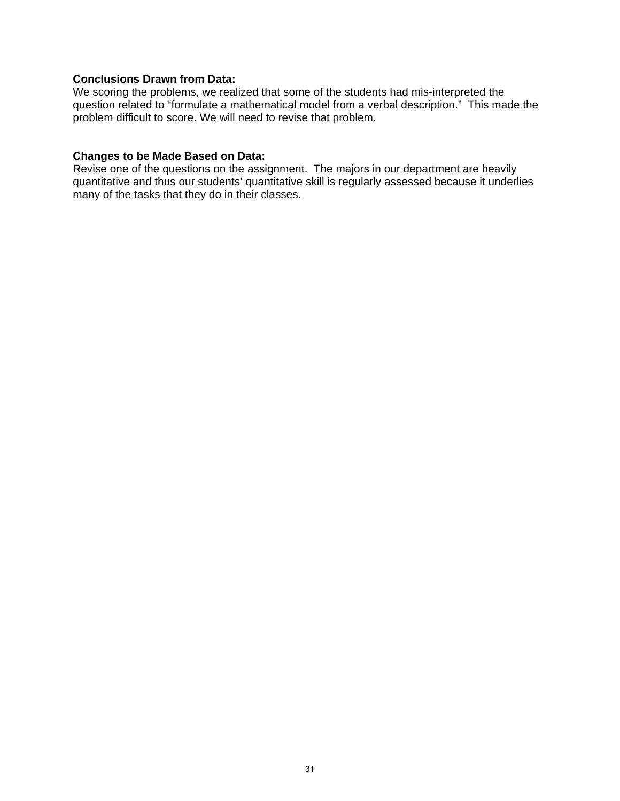#### **Conclusions Drawn from Data:**

We scoring the problems, we realized that some of the students had mis-interpreted the question related to "formulate a mathematical model from a verbal description." This made the problem difficult to score. We will need to revise that problem.

### **Changes to be Made Based on Data:**

Revise one of the questions on the assignment. The majors in our department are heavily quantitative and thus our students' quantitative skill is regularly assessed because it underlies many of the tasks that they do in their classes**.**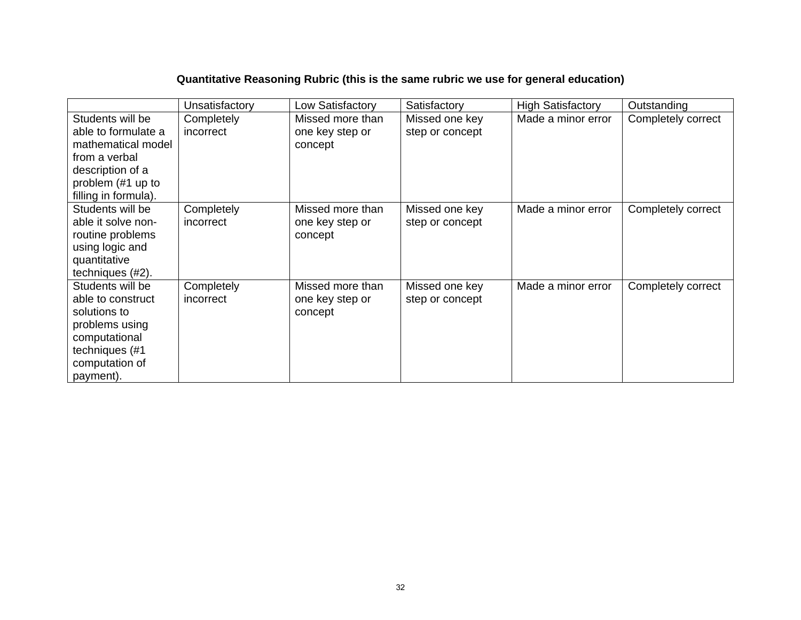## **Quantitative Reasoning Rubric (this is the same rubric we use for general education)**

|                      | Unsatisfactory | Low Satisfactory | Satisfactory    | <b>High Satisfactory</b> | Outstanding        |
|----------------------|----------------|------------------|-----------------|--------------------------|--------------------|
| Students will be     | Completely     | Missed more than | Missed one key  | Made a minor error       | Completely correct |
| able to formulate a  | incorrect      | one key step or  | step or concept |                          |                    |
| mathematical model   |                | concept          |                 |                          |                    |
| from a verbal        |                |                  |                 |                          |                    |
| description of a     |                |                  |                 |                          |                    |
| problem (#1 up to    |                |                  |                 |                          |                    |
| filling in formula). |                |                  |                 |                          |                    |
| Students will be     | Completely     | Missed more than | Missed one key  | Made a minor error       | Completely correct |
| able it solve non-   | incorrect      | one key step or  | step or concept |                          |                    |
| routine problems     |                | concept          |                 |                          |                    |
| using logic and      |                |                  |                 |                          |                    |
| quantitative         |                |                  |                 |                          |                    |
| techniques (#2).     |                |                  |                 |                          |                    |
| Students will be     | Completely     | Missed more than | Missed one key  | Made a minor error       | Completely correct |
| able to construct    | incorrect      | one key step or  | step or concept |                          |                    |
| solutions to         |                | concept          |                 |                          |                    |
| problems using       |                |                  |                 |                          |                    |
| computational        |                |                  |                 |                          |                    |
| techniques (#1       |                |                  |                 |                          |                    |
| computation of       |                |                  |                 |                          |                    |
| payment).            |                |                  |                 |                          |                    |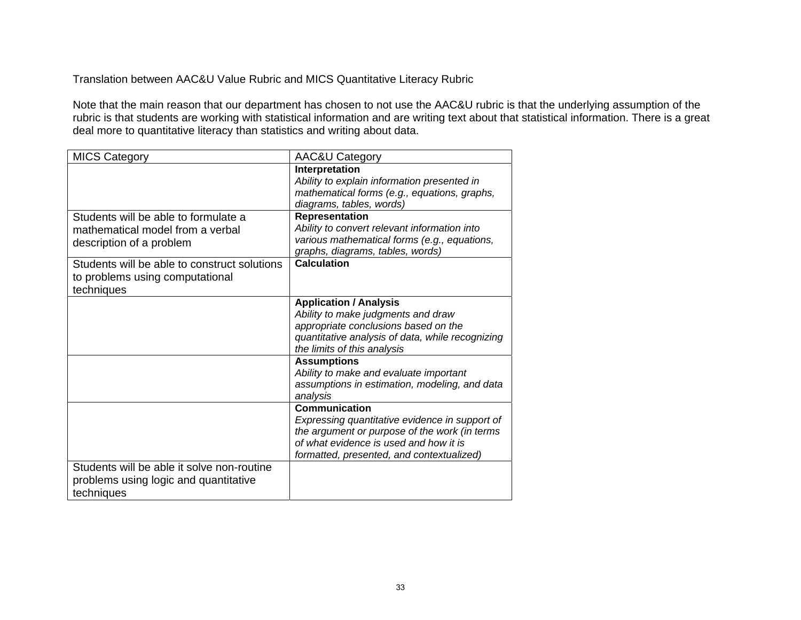Translation between AAC&U Value Rubric and MICS Quantitative Literacy Rubric

Note that the main reason that our department has chosen to not use the AAC&U rubric is that the underlying assumption of the rubric is that students are working with statistical information and are writing text about that statistical information. There is a great deal more to quantitative literacy than statistics and writing about data.

| <b>MICS Category</b>                                                                                 | AAC&U Category                                                                                                                                                                                          |
|------------------------------------------------------------------------------------------------------|---------------------------------------------------------------------------------------------------------------------------------------------------------------------------------------------------------|
|                                                                                                      | Interpretation<br>Ability to explain information presented in<br>mathematical forms (e.g., equations, graphs,<br>diagrams, tables, words)                                                               |
| Students will be able to formulate a<br>mathematical model from a verbal<br>description of a problem | <b>Representation</b><br>Ability to convert relevant information into<br>various mathematical forms (e.g., equations,<br>graphs, diagrams, tables, words)                                               |
| Students will be able to construct solutions<br>to problems using computational<br>techniques        | <b>Calculation</b>                                                                                                                                                                                      |
|                                                                                                      | <b>Application / Analysis</b><br>Ability to make judgments and draw<br>appropriate conclusions based on the<br>quantitative analysis of data, while recognizing<br>the limits of this analysis          |
|                                                                                                      | <b>Assumptions</b><br>Ability to make and evaluate important<br>assumptions in estimation, modeling, and data<br>analysis                                                                               |
|                                                                                                      | Communication<br>Expressing quantitative evidence in support of<br>the argument or purpose of the work (in terms<br>of what evidence is used and how it is<br>formatted, presented, and contextualized) |
| Students will be able it solve non-routine<br>problems using logic and quantitative<br>techniques    |                                                                                                                                                                                                         |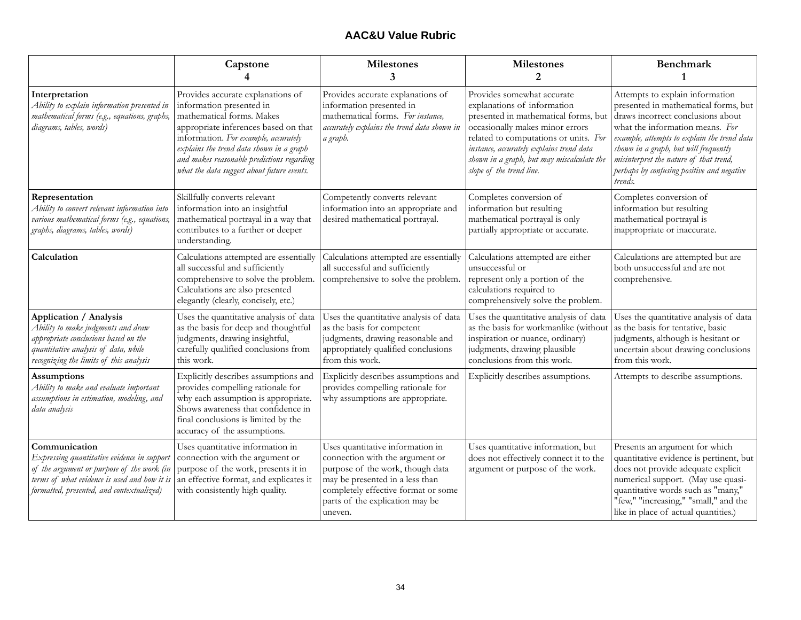### **AAC&U Value Rubric**

|                                                                                                                                                                                                         | Capstone                                                                                                                                                                                                                                                                                                           | <b>Milestones</b><br>3                                                                                                                                                                                                          | <b>Milestones</b><br>$\overline{c}$                                                                                                                                                                                                                                                                 | <b>Benchmark</b>                                                                                                                                                                                                                                                                                                                           |
|---------------------------------------------------------------------------------------------------------------------------------------------------------------------------------------------------------|--------------------------------------------------------------------------------------------------------------------------------------------------------------------------------------------------------------------------------------------------------------------------------------------------------------------|---------------------------------------------------------------------------------------------------------------------------------------------------------------------------------------------------------------------------------|-----------------------------------------------------------------------------------------------------------------------------------------------------------------------------------------------------------------------------------------------------------------------------------------------------|--------------------------------------------------------------------------------------------------------------------------------------------------------------------------------------------------------------------------------------------------------------------------------------------------------------------------------------------|
| Interpretation<br>Ability to explain information presented in<br>mathematical forms (e.g., equations, graphs,<br>diagrams, tables, words)                                                               | Provides accurate explanations of<br>information presented in<br>mathematical forms. Makes<br>appropriate inferences based on that<br>information. For example, accurately<br>explains the trend data shown in a graph<br>and makes reasonable predictions regarding<br>what the data suggest about future events. | Provides accurate explanations of<br>information presented in<br>mathematical forms. For instance,<br>accurately explains the trend data shown in<br>a graph.                                                                   | Provides somewhat accurate<br>explanations of information<br>presented in mathematical forms, but<br>occasionally makes minor errors<br>related to computations or units. For<br>instance, accurately explains trend data<br>shown in a graph, but may miscalculate the<br>slope of the trend line. | Attempts to explain information<br>presented in mathematical forms, but<br>draws incorrect conclusions about<br>what the information means. For<br>example, attempts to explain the trend data<br>shown in a graph, but will frequently<br>misinterpret the nature of that trend,<br>perhaps by confusing positive and negative<br>trends. |
| Representation<br>Ability to convert relevant information into<br>various mathematical forms (e.g., equations,<br>graphs, diagrams, tables, words)                                                      | Skillfully converts relevant<br>information into an insightful<br>mathematical portrayal in a way that<br>contributes to a further or deeper<br>understanding.                                                                                                                                                     | Competently converts relevant<br>information into an appropriate and<br>desired mathematical portrayal.                                                                                                                         | Completes conversion of<br>information but resulting<br>mathematical portrayal is only<br>partially appropriate or accurate.                                                                                                                                                                        | Completes conversion of<br>information but resulting<br>mathematical portrayal is<br>inappropriate or inaccurate.                                                                                                                                                                                                                          |
| Calculation                                                                                                                                                                                             | Calculations attempted are essentially<br>all successful and sufficiently<br>comprehensive to solve the problem.<br>Calculations are also presented<br>elegantly (clearly, concisely, etc.)                                                                                                                        | Calculations attempted are essentially<br>all successful and sufficiently<br>comprehensive to solve the problem.                                                                                                                | Calculations attempted are either<br>unsuccessful or<br>represent only a portion of the<br>calculations required to<br>comprehensively solve the problem.                                                                                                                                           | Calculations are attempted but are<br>both unsuccessful and are not<br>comprehensive.                                                                                                                                                                                                                                                      |
| Application / Analysis<br>Ability to make judgments and draw<br>appropriate conclusions based on the<br>quantitative analysis of data, while<br>recognizing the limits of this analysis                 | Uses the quantitative analysis of data<br>as the basis for deep and thoughtful<br>judgments, drawing insightful,<br>carefully qualified conclusions from<br>this work.                                                                                                                                             | Uses the quantitative analysis of data<br>as the basis for competent<br>judgments, drawing reasonable and<br>appropriately qualified conclusions<br>from this work.                                                             | Uses the quantitative analysis of data<br>as the basis for workmanlike (without<br>inspiration or nuance, ordinary)<br>judgments, drawing plausible<br>conclusions from this work.                                                                                                                  | Uses the quantitative analysis of data<br>as the basis for tentative, basic<br>judgments, although is hesitant or<br>uncertain about drawing conclusions<br>from this work.                                                                                                                                                                |
| <b>Assumptions</b><br>Ability to make and evaluate important<br>assumptions in estimation, modeling, and<br>data analysis                                                                               | Explicitly describes assumptions and<br>provides compelling rationale for<br>why each assumption is appropriate.<br>Shows awareness that confidence in<br>final conclusions is limited by the<br>accuracy of the assumptions.                                                                                      | Explicitly describes assumptions and<br>provides compelling rationale for<br>why assumptions are appropriate.                                                                                                                   | Explicitly describes assumptions.                                                                                                                                                                                                                                                                   | Attempts to describe assumptions.                                                                                                                                                                                                                                                                                                          |
| Communication<br>Expressing quantitative evidence in support<br>of the argument or purpose of the work (in<br>terms of what evidence is used and how it is<br>formatted, presented, and contextualized) | Uses quantitative information in<br>connection with the argument or<br>purpose of the work, presents it in<br>an effective format, and explicates it<br>with consistently high quality.                                                                                                                            | Uses quantitative information in<br>connection with the argument or<br>purpose of the work, though data<br>may be presented in a less than<br>completely effective format or some<br>parts of the explication may be<br>uneven. | Uses quantitative information, but<br>does not effectively connect it to the<br>argument or purpose of the work.                                                                                                                                                                                    | Presents an argument for which<br>quantitative evidence is pertinent, but<br>does not provide adequate explicit<br>numerical support. (May use quasi-<br>quantitative words such as "many,"<br>"few," "increasing," "small," and the<br>like in place of actual quantities.)                                                               |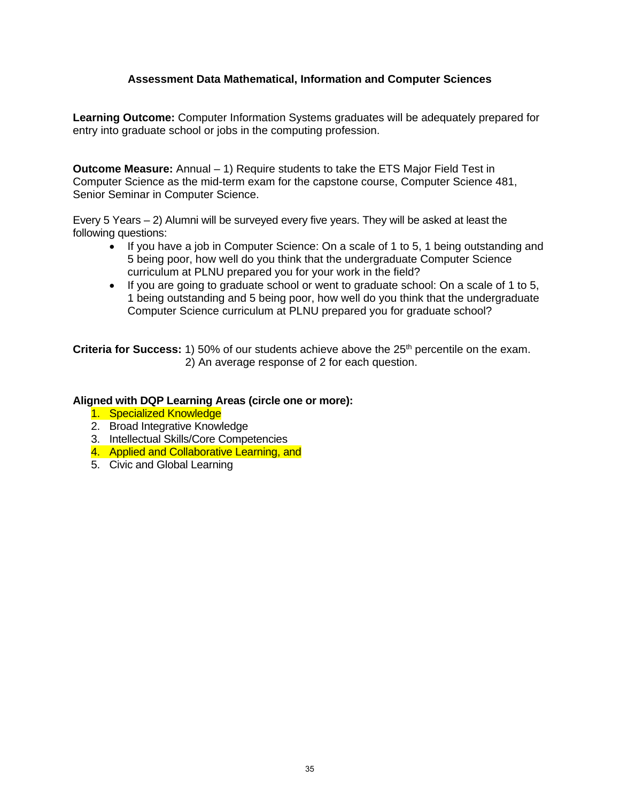**Learning Outcome:** Computer Information Systems graduates will be adequately prepared for entry into graduate school or jobs in the computing profession.

**Outcome Measure:** Annual – 1) Require students to take the ETS Major Field Test in Computer Science as the mid-term exam for the capstone course, Computer Science 481, Senior Seminar in Computer Science.

Every 5 Years – 2) Alumni will be surveyed every five years. They will be asked at least the following questions:

- If you have a job in Computer Science: On a scale of 1 to 5, 1 being outstanding and 5 being poor, how well do you think that the undergraduate Computer Science curriculum at PLNU prepared you for your work in the field?
- $\bullet$  If you are going to graduate school or went to graduate school: On a scale of 1 to 5, 1 being outstanding and 5 being poor, how well do you think that the undergraduate Computer Science curriculum at PLNU prepared you for graduate school?

**Criteria for Success:** 1) 50% of our students achieve above the 25<sup>th</sup> percentile on the exam. 2) An average response of 2 for each question.

### **Aligned with DQP Learning Areas (circle one or more):**

- 1. Specialized Knowledge
- 2. Broad Integrative Knowledge
- 3. Intellectual Skills/Core Competencies
- 4. Applied and Collaborative Learning, and
- 5. Civic and Global Learning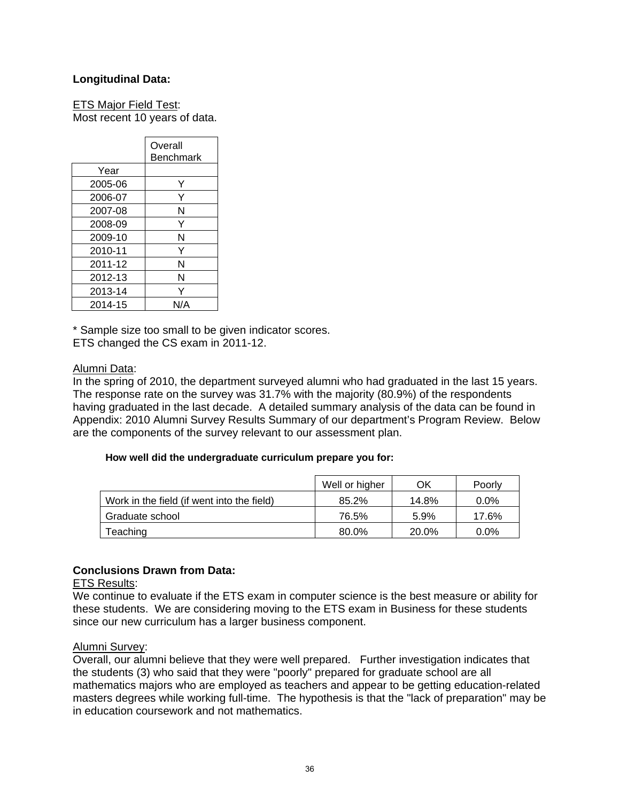### **Longitudinal Data:**

ETS Major Field Test: Most recent 10 years of data.

|         | Overall<br><b>Benchmark</b> |
|---------|-----------------------------|
| Year    |                             |
| 2005-06 | Y                           |
| 2006-07 | Y                           |
| 2007-08 | Ν                           |
| 2008-09 | Y                           |
| 2009-10 | N                           |
| 2010-11 | Y                           |
| 2011-12 | Ν                           |
| 2012-13 | N                           |
| 2013-14 | Y                           |
| 2014-15 | N/A                         |

\* Sample size too small to be given indicator scores. ETS changed the CS exam in 2011-12.

#### Alumni Data:

In the spring of 2010, the department surveyed alumni who had graduated in the last 15 years. The response rate on the survey was 31.7% with the majority (80.9%) of the respondents having graduated in the last decade. A detailed summary analysis of the data can be found in Appendix: 2010 Alumni Survey Results Summary of our department's Program Review. Below are the components of the survey relevant to our assessment plan.

#### **How well did the undergraduate curriculum prepare you for:**

|                                            | Well or higher | ΟK    | Poorly  |
|--------------------------------------------|----------------|-------|---------|
| Work in the field (if went into the field) | 85.2%          | 14.8% | $0.0\%$ |
| Graduate school                            | 76.5%          | 5.9%  | 17.6%   |
| Teaching                                   | 80.0%          | 20.0% | $0.0\%$ |

#### **Conclusions Drawn from Data:**

### **ETS Results:**

We continue to evaluate if the ETS exam in computer science is the best measure or ability for these students. We are considering moving to the ETS exam in Business for these students since our new curriculum has a larger business component.

#### Alumni Survey:

Overall, our alumni believe that they were well prepared. Further investigation indicates that the students (3) who said that they were "poorly" prepared for graduate school are all mathematics majors who are employed as teachers and appear to be getting education-related masters degrees while working full-time. The hypothesis is that the "lack of preparation" may be in education coursework and not mathematics.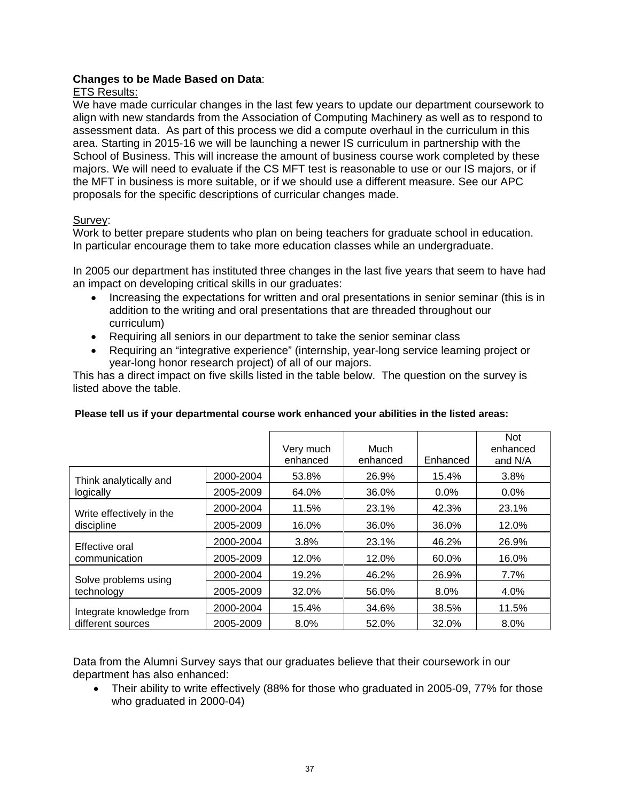### **Changes to be Made Based on Data**:

### ETS Results:

We have made curricular changes in the last few years to update our department coursework to align with new standards from the Association of Computing Machinery as well as to respond to assessment data. As part of this process we did a compute overhaul in the curriculum in this area. Starting in 2015-16 we will be launching a newer IS curriculum in partnership with the School of Business. This will increase the amount of business course work completed by these majors. We will need to evaluate if the CS MFT test is reasonable to use or our IS majors, or if the MFT in business is more suitable, or if we should use a different measure. See our APC proposals for the specific descriptions of curricular changes made.

### Survey:

Work to better prepare students who plan on being teachers for graduate school in education. In particular encourage them to take more education classes while an undergraduate.

In 2005 our department has instituted three changes in the last five years that seem to have had an impact on developing critical skills in our graduates:

- Increasing the expectations for written and oral presentations in senior seminar (this is in addition to the writing and oral presentations that are threaded throughout our curriculum)
- Requiring all seniors in our department to take the senior seminar class
- Requiring an "integrative experience" (internship, year-long service learning project or year-long honor research project) of all of our majors.

This has a direct impact on five skills listed in the table below. The question on the survey is listed above the table.

|                                    |           | Very much<br>enhanced | Much<br>enhanced | Enhanced | <b>Not</b><br>enhanced<br>and N/A |
|------------------------------------|-----------|-----------------------|------------------|----------|-----------------------------------|
| Think analytically and             | 2000-2004 | 53.8%                 | 26.9%            | 15.4%    | 3.8%                              |
| logically                          | 2005-2009 | 64.0%                 | 36.0%            | 0.0%     | 0.0%                              |
| Write effectively in the           | 2000-2004 | 11.5%                 | 23.1%            | 42.3%    | 23.1%                             |
| discipline                         | 2005-2009 | 16.0%                 | 36.0%            | 36.0%    | 12.0%                             |
| Effective oral                     | 2000-2004 | 3.8%                  | 23.1%            | 46.2%    | 26.9%                             |
| communication                      | 2005-2009 | 12.0%                 | 12.0%            | 60.0%    | 16.0%                             |
| Solve problems using<br>technology | 2000-2004 | 19.2%                 | 46.2%            | 26.9%    | 7.7%                              |
|                                    | 2005-2009 | 32.0%                 | 56.0%            | 8.0%     | 4.0%                              |
| Integrate knowledge from           | 2000-2004 | 15.4%                 | 34.6%            | 38.5%    | 11.5%                             |
| different sources                  | 2005-2009 | 8.0%                  | 52.0%            | 32.0%    | 8.0%                              |

#### **Please tell us if your departmental course work enhanced your abilities in the listed areas:**

Data from the Alumni Survey says that our graduates believe that their coursework in our department has also enhanced:

• Their ability to write effectively (88% for those who graduated in 2005-09, 77% for those who graduated in 2000-04)